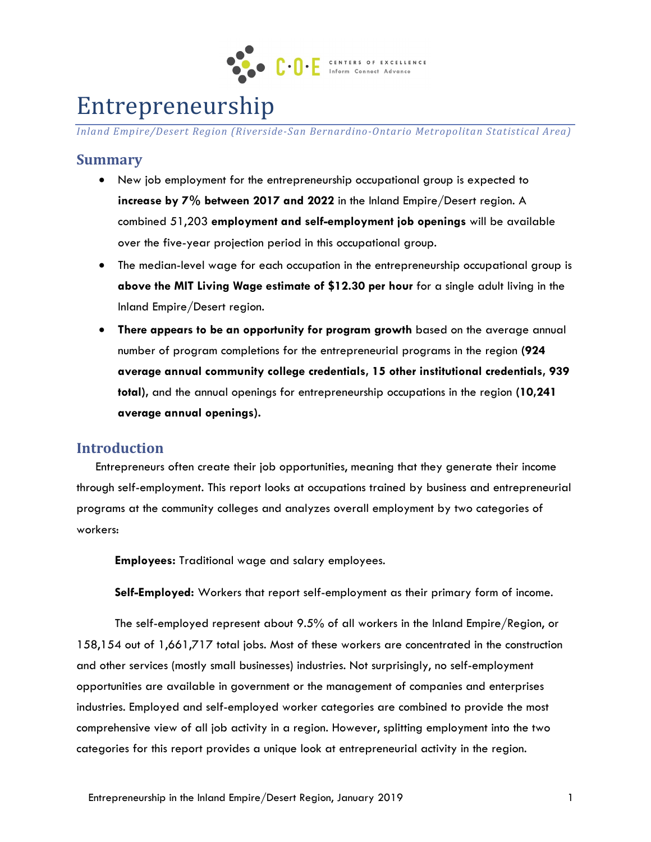

# Entrepreneurship

*Inland Empire/Desert Region (Riverside-San Bernardino-Ontario Metropolitan Statistical Area)*

# **Summary**

- New job employment for the entrepreneurship occupational group is expected to **increase by 7% between 2017 and 2022** in the Inland Empire/Desert region. A combined 51,203 **employment and self-employment job openings** will be available over the five-year projection period in this occupational group.
- The median-level wage for each occupation in the entrepreneurship occupational group is **above the MIT Living Wage estimate of \$12.30 per hour** for a single adult living in the Inland Empire/Desert region.
- **There appears to be an opportunity for program growth** based on the average annual number of program completions for the entrepreneurial programs in the region **(924 average annual community college credentials, 15 other institutional credentials, 939 total),** and the annual openings for entrepreneurship occupations in the region **(10,241 average annual openings).**

## **Introduction**

Entrepreneurs often create their job opportunities, meaning that they generate their income through self-employment. This report looks at occupations trained by business and entrepreneurial programs at the community colleges and analyzes overall employment by two categories of workers:

**Employees:** Traditional wage and salary employees.

**Self-Employed:** Workers that report self-employment as their primary form of income.

The self-employed represent about 9.5% of all workers in the Inland Empire/Region, or 158,154 out of 1,661,717 total jobs. Most of these workers are concentrated in the construction and other services (mostly small businesses) industries. Not surprisingly, no self-employment opportunities are available in government or the management of companies and enterprises industries. Employed and self-employed worker categories are combined to provide the most comprehensive view of all job activity in a region. However, splitting employment into the two categories for this report provides a unique look at entrepreneurial activity in the region.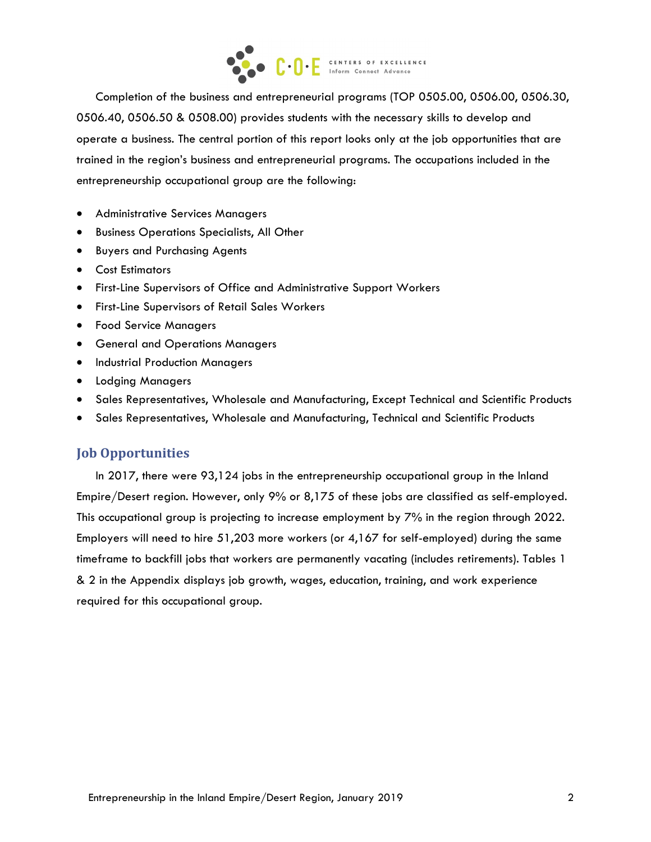

Completion of the business and entrepreneurial programs (TOP 0505.00, 0506.00, 0506.30, 0506.40, 0506.50 & 0508.00) provides students with the necessary skills to develop and operate a business. The central portion of this report looks only at the job opportunities that are trained in the region's business and entrepreneurial programs. The occupations included in the entrepreneurship occupational group are the following:

- Administrative Services Managers
- Business Operations Specialists, All Other
- Buyers and Purchasing Agents
- Cost Estimators
- First-Line Supervisors of Office and Administrative Support Workers
- First-Line Supervisors of Retail Sales Workers
- Food Service Managers
- General and Operations Managers
- Industrial Production Managers
- Lodging Managers
- Sales Representatives, Wholesale and Manufacturing, Except Technical and Scientific Products
- Sales Representatives, Wholesale and Manufacturing, Technical and Scientific Products

#### **Job Opportunities**

In 2017, there were 93,124 jobs in the entrepreneurship occupational group in the Inland Empire/Desert region. However, only 9% or 8,175 of these jobs are classified as self-employed. This occupational group is projecting to increase employment by 7% in the region through 2022. Employers will need to hire 51,203 more workers (or 4,167 for self-employed) during the same timeframe to backfill jobs that workers are permanently vacating (includes retirements). Tables 1 & 2 in the Appendix displays job growth, wages, education, training, and work experience required for this occupational group.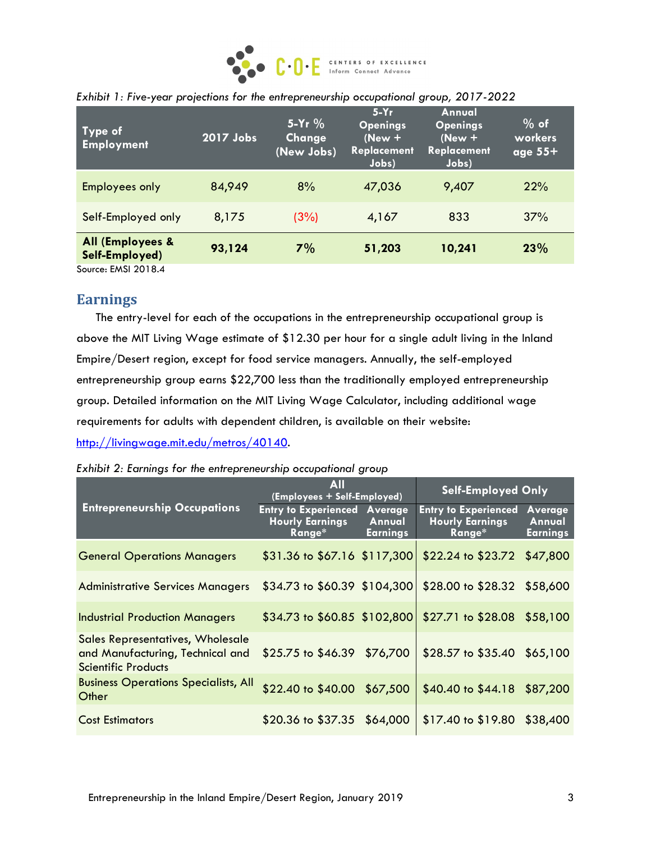

| Type of<br><b>Employment</b>                                                                           | 2017 Jobs | $5-Yr$ %<br>Change<br>(New Jobs) | $5-Yr$<br><b>Openings</b><br>$(New +$<br><b>Replacement</b><br>Jobs) | Annual<br><b>Openings</b><br>$(New +$<br><b>Replacement</b><br>Jobs) | $%$ of<br>workers<br>$\overline{\mathsf{age}}$ 55+ |
|--------------------------------------------------------------------------------------------------------|-----------|----------------------------------|----------------------------------------------------------------------|----------------------------------------------------------------------|----------------------------------------------------|
| <b>Employees only</b>                                                                                  | 84,949    | 8%                               | 47,036                                                               | 9,407                                                                | 22%                                                |
| Self-Employed only                                                                                     | 8,175     | (3%)                             | 4,167                                                                | 833                                                                  | 37%                                                |
| All (Employees &<br>Self-Employed)<br>$C_{\text{source}}$ $C_{\text{M}}$ $C_{\text{M}}$ $C_{\text{M}}$ | 93,124    | 7%                               | 51,203                                                               | 10,241                                                               | 23%                                                |

|  |  |  | Exhibit 1: Five-year projections for the entrepreneurship occupational group, 2017-2022 |  |  |  |  |
|--|--|--|-----------------------------------------------------------------------------------------|--|--|--|--|
|--|--|--|-----------------------------------------------------------------------------------------|--|--|--|--|

Source: EMSI 2018.4

## **Earnings**

The entry-level for each of the occupations in the entrepreneurship occupational group is above the MIT Living Wage estimate of \$12.30 per hour for a single adult living in the Inland Empire/Desert region, except for food service managers. Annually, the self-employed entrepreneurship group earns \$22,700 less than the traditionally employed entrepreneurship group. Detailed information on the MIT Living Wage Calculator, including additional wage requirements for adults with dependent children, is available on their website: [http://livingwage.mit.edu/metros/40140.](http://livingwage.mit.edu/metros/40140)

| Exhibit 2: Earnings for the entrepreneurship occupational group |  |  |
|-----------------------------------------------------------------|--|--|
|                                                                 |  |  |

|                                                                                                    | <b>All</b><br>(Employees + Self-Employed)                       |                                             | <b>Self-Employed Only</b>                                       |                                      |  |
|----------------------------------------------------------------------------------------------------|-----------------------------------------------------------------|---------------------------------------------|-----------------------------------------------------------------|--------------------------------------|--|
| <b>Entrepreneurship Occupations</b>                                                                | <b>Entry to Experienced</b><br><b>Hourly Earnings</b><br>Range* | <b>Average</b><br>Annual<br><b>Earnings</b> | <b>Entry to Experienced</b><br><b>Hourly Earnings</b><br>Range* | Average<br>Annual<br><b>Earnings</b> |  |
| <b>General Operations Managers</b>                                                                 | \$31.36 to \$67.16 \$117,300                                    |                                             | $$22.24$ to $$23.72$                                            | \$47,800                             |  |
| <b>Administrative Services Managers</b>                                                            | $$34.73$ to $$60.39$ $$104,300$                                 |                                             | $$28.00 \text{ to } $28.32$$                                    | \$58,600                             |  |
| <b>Industrial Production Managers</b>                                                              | $$34.73$ to $$60.85$ $$102,800$                                 |                                             | $$27.71$ to $$28.08$ $$58,100$                                  |                                      |  |
| Sales Representatives, Wholesale<br>and Manufacturing, Technical and<br><b>Scientific Products</b> | $$25.75$ to $$46.39$                                            | \$76,700                                    | \$28.57 to \$35.40 \$65,100                                     |                                      |  |
| <b>Business Operations Specialists, All</b><br>Other                                               | \$22.40 to \$40.00 \$67,500                                     |                                             | $$40.40 \text{ to } $44.18$                                     | \$87,200                             |  |
| <b>Cost Estimators</b>                                                                             | $$20.36 \text{ to } $37.35$                                     | \$64,000                                    | $$17.40 \text{ to } $19.80$                                     | \$38,400                             |  |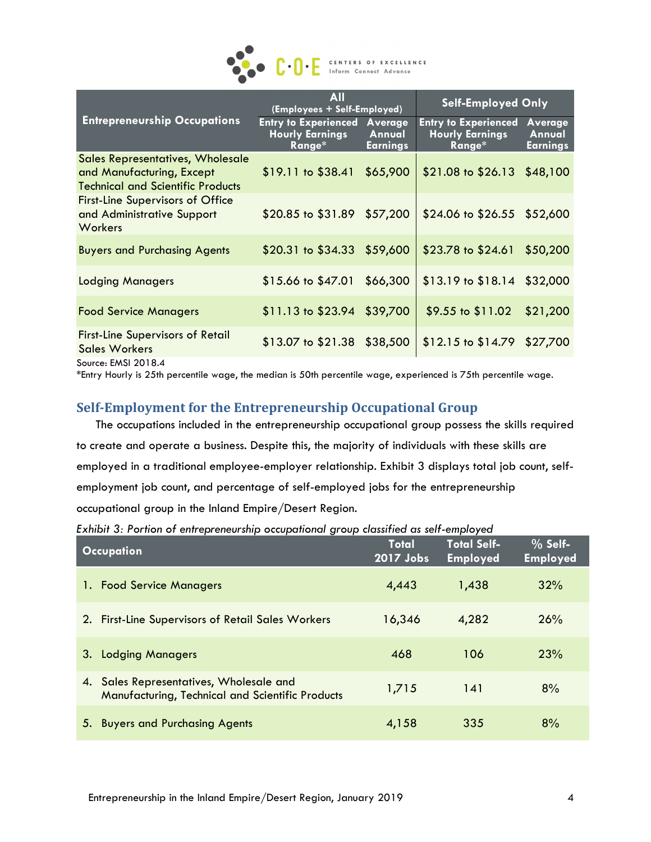

|                                                                                                           | All<br>(Employees + Self-Employed)                              |                                             | <b>Self-Employed Only</b>                                       |                                             |
|-----------------------------------------------------------------------------------------------------------|-----------------------------------------------------------------|---------------------------------------------|-----------------------------------------------------------------|---------------------------------------------|
| <b>Entrepreneurship Occupations</b>                                                                       | <b>Entry to Experienced</b><br><b>Hourly Earnings</b><br>Range* | <b>Average</b><br>Annual<br><b>Earnings</b> | <b>Entry to Experienced</b><br><b>Hourly Earnings</b><br>Range* | <b>Average</b><br>Annual<br><b>Earnings</b> |
| Sales Representatives, Wholesale<br>and Manufacturing, Except<br><b>Technical and Scientific Products</b> | $$19.11$ to $$38.41$ $$65,900$                                  |                                             | \$21.08 to \$26.13 \$48,100                                     |                                             |
| <b>First-Line Supervisors of Office</b><br>and Administrative Support<br>Workers                          | \$20.85 to \$31.89 \$57,200                                     |                                             | \$24.06 to \$26.55 \$52,600                                     |                                             |
| <b>Buyers and Purchasing Agents</b>                                                                       | \$20.31 to \$34.33 \$59,600                                     |                                             | $$23.78$ to $$24.61$                                            | \$50,200                                    |
| <b>Lodging Managers</b>                                                                                   | $$15.66$ to $$47.01$                                            | \$66,300                                    | $$13.19$ to $$18.14$ $$32,000$                                  |                                             |
| <b>Food Service Managers</b>                                                                              | \$11.13 to \$23.94 \$39,700                                     |                                             | $$9.55$ to $$11.02$                                             | \$21,200                                    |
| <b>First-Line Supervisors of Retail</b><br><b>Sales Workers</b><br>Source: EMSI 2018.4                    | \$13.07 to \$21.38 \$38,500                                     |                                             | $$12.15$ to $$14.79$ $$27,700$                                  |                                             |

\*Entry Hourly is 25th percentile wage, the median is 50th percentile wage, experienced is 75th percentile wage.

## **Self-Employment for the Entrepreneurship Occupational Group**

The occupations included in the entrepreneurship occupational group possess the skills required to create and operate a business. Despite this, the majority of individuals with these skills are employed in a traditional employee-employer relationship. Exhibit 3 displays total job count, selfemployment job count, and percentage of self-employed jobs for the entrepreneurship occupational group in the Inland Empire/Desert Region.

*Exhibit 3: Portion of entrepreneurship occupational group classified as self-employed*

| <b>Occupation</b>                                                                              | <b>Total</b><br>2017 Jobs | <b>Total Self-</b><br><b>Employed</b> | $%$ Self-<br><b>Employed</b> |
|------------------------------------------------------------------------------------------------|---------------------------|---------------------------------------|------------------------------|
| <b>Food Service Managers</b><br>Τ.                                                             | 4,443                     | 1,438                                 | 32%                          |
| <b>First-Line Supervisors of Retail Sales Workers</b><br>2.                                    | 16,346                    | 4,282                                 | 26%                          |
| <b>Lodging Managers</b><br>3.                                                                  | 468                       | 106                                   | 23%                          |
| Sales Representatives, Wholesale and<br>4.<br>Manufacturing, Technical and Scientific Products | 1,715                     | 141                                   | 8%                           |
| 5. Buyers and Purchasing Agents                                                                | 4,158                     | 335                                   | 8%                           |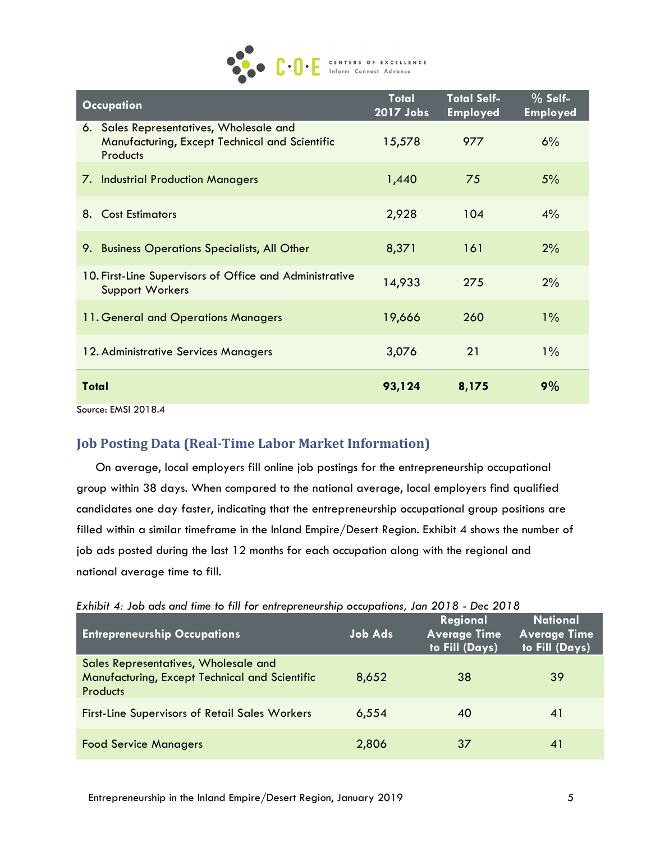

| <b>Occupation</b>                                                                                            | <b>Total</b><br>2017 Jobs | <b>Total Self-</b><br><b>Employed</b> | $%$ Self-<br><b>Employed</b> |
|--------------------------------------------------------------------------------------------------------------|---------------------------|---------------------------------------|------------------------------|
| 6. Sales Representatives, Wholesale and<br>Manufacturing, Except Technical and Scientific<br><b>Products</b> | 15,578                    | 977                                   | 6%                           |
| 7. Industrial Production Managers                                                                            | 1,440                     | 75                                    | 5%                           |
| <b>Cost Estimators</b><br>8.                                                                                 | 2,928                     | 104                                   | $4\%$                        |
| <b>Business Operations Specialists, All Other</b><br>9.                                                      | 8,371                     | 161                                   | 2%                           |
| 10. First-Line Supervisors of Office and Administrative<br><b>Support Workers</b>                            | 14,933                    | 275                                   | 2%                           |
| 11. General and Operations Managers                                                                          | 19,666                    | 260                                   | $1\%$                        |
| 12. Administrative Services Managers                                                                         | 3,076                     | 21                                    | $1\%$                        |
| <b>Total</b>                                                                                                 | 93,124                    | 8,175                                 | 9%                           |
| Source: EMSI 2018.4                                                                                          |                           |                                       |                              |

# **Job Posting Data (Real-Time Labor Market Information)**

On average, local employers fill online job postings for the entrepreneurship occupational group within 38 days. When compared to the national average, local employers find qualified candidates one day faster, indicating that the entrepreneurship occupational group positions are filled within a similar timeframe in the Inland Empire/Desert Region. Exhibit 4 shows the number of job ads posted during the last 12 months for each occupation along with the regional and national average time to fill.

| Exhibit 4: Job ads and time to fill for entrepreneurship occupations, Jan 2018 - Dec 2018 |  |  |  |  |  |  |  |  |
|-------------------------------------------------------------------------------------------|--|--|--|--|--|--|--|--|
|-------------------------------------------------------------------------------------------|--|--|--|--|--|--|--|--|

| <b>Entrepreneurship Occupations</b>                                                                       | <b>Job Ads</b> | Regional<br><b>Average Time</b><br>to Fill (Days) | <b>National</b><br><b>Average Time</b><br>to Fill (Days) |
|-----------------------------------------------------------------------------------------------------------|----------------|---------------------------------------------------|----------------------------------------------------------|
| Sales Representatives, Wholesale and<br>Manufacturing, Except Technical and Scientific<br><b>Products</b> | 8,652          | 38                                                | 39                                                       |
| <b>First-Line Supervisors of Retail Sales Workers</b>                                                     | 6,554          | 40                                                | 41                                                       |
| <b>Food Service Managers</b>                                                                              | 2,806          | 37                                                | 41                                                       |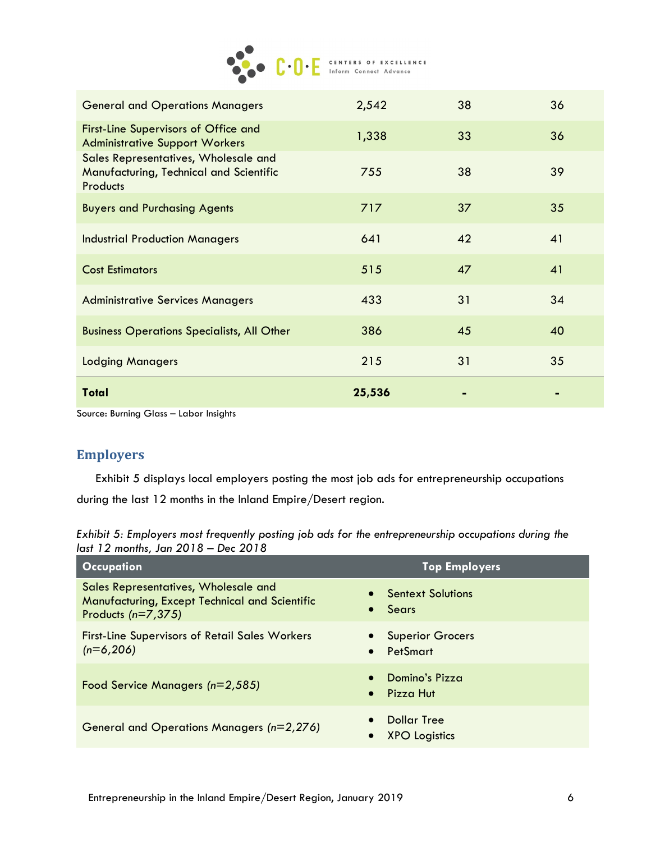

| <b>General and Operations Managers</b>                                                             | 2,542  | 38 | 36 |
|----------------------------------------------------------------------------------------------------|--------|----|----|
| First-Line Supervisors of Office and<br><b>Administrative Support Workers</b>                      | 1,338  | 33 | 36 |
| Sales Representatives, Wholesale and<br>Manufacturing, Technical and Scientific<br><b>Products</b> | 755    | 38 | 39 |
| <b>Buyers and Purchasing Agents</b>                                                                | 717    | 37 | 35 |
| <b>Industrial Production Managers</b>                                                              | 641    | 42 | 41 |
| <b>Cost Estimators</b>                                                                             | 515    | 47 | 41 |
| <b>Administrative Services Managers</b>                                                            | 433    | 31 | 34 |
| <b>Business Operations Specialists, All Other</b>                                                  | 386    | 45 | 40 |
| <b>Lodging Managers</b>                                                                            | 215    | 31 | 35 |
| <b>Total</b>                                                                                       | 25,536 |    |    |

Source: Burning Glass – Labor Insights

#### **Employers**

Exhibit 5 displays local employers posting the most job ads for entrepreneurship occupations during the last 12 months in the Inland Empire/Desert region.

*Exhibit 5: Employers most frequently posting job ads for the entrepreneurship occupations during the last 12 months, Jan 2018 – Dec 2018*

| <b>Occupation</b>                                                                                              | <b>Top Employers</b>                             |
|----------------------------------------------------------------------------------------------------------------|--------------------------------------------------|
| Sales Representatives, Wholesale and<br>Manufacturing, Except Technical and Scientific<br>Products $(n=7,375)$ | <b>Sentext Solutions</b><br>Sears<br>$\bullet$   |
| <b>First-Line Supervisors of Retail Sales Workers</b><br>$(n=6,206)$                                           | <b>Superior Grocers</b><br>PetSmart<br>$\bullet$ |
| Food Service Managers (n=2,585)                                                                                | Domino's Pizza<br>Pizza Hut<br>$\bullet$         |
| General and Operations Managers (n=2,276)                                                                      | <b>Dollar Tree</b><br><b>XPO</b> Logistics       |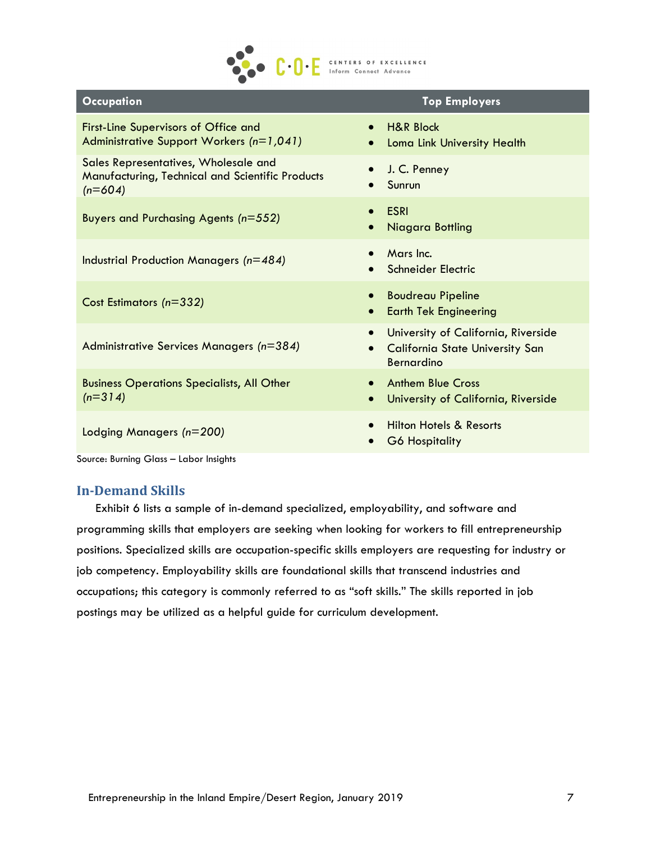

| <b>Occupation</b>                                                                                     | <b>Top Employers</b>                                                                                            |
|-------------------------------------------------------------------------------------------------------|-----------------------------------------------------------------------------------------------------------------|
| <b>First-Line Supervisors of Office and</b><br>Administrative Support Workers (n=1,041)               | <b>H&amp;R Block</b><br>$\bullet$<br>Loma Link University Health<br>$\bullet$                                   |
| Sales Representatives, Wholesale and<br>Manufacturing, Technical and Scientific Products<br>$(n=604)$ | J. C. Penney<br>Sunrun                                                                                          |
| Buyers and Purchasing Agents (n=552)                                                                  | ESRI<br>$\bullet$<br>Niagara Bottling                                                                           |
| Industrial Production Managers (n=484)                                                                | Mars Inc.<br>Schneider Electric                                                                                 |
| Cost Estimators (n=332)                                                                               | <b>Boudreau Pipeline</b><br><b>Earth Tek Engineering</b><br>$\bullet$                                           |
| Administrative Services Managers (n=384)                                                              | University of California, Riverside<br>$\bullet$<br><b>California State University San</b><br><b>Bernardino</b> |
| <b>Business Operations Specialists, All Other</b><br>$(n=314)$                                        | <b>Anthem Blue Cross</b><br>$\bullet$<br>University of California, Riverside<br>$\bullet$                       |
| Lodging Managers (n=200)                                                                              | <b>Hilton Hotels &amp; Resorts</b><br><b>G6 Hospitality</b><br>$\bullet$                                        |

Source: Burning Glass – Labor Insights

#### **In-Demand Skills**

Exhibit 6 lists a sample of in-demand specialized, employability, and software and programming skills that employers are seeking when looking for workers to fill entrepreneurship positions. Specialized skills are occupation-specific skills employers are requesting for industry or job competency. Employability skills are foundational skills that transcend industries and occupations; this category is commonly referred to as "soft skills." The skills reported in job postings may be utilized as a helpful guide for curriculum development.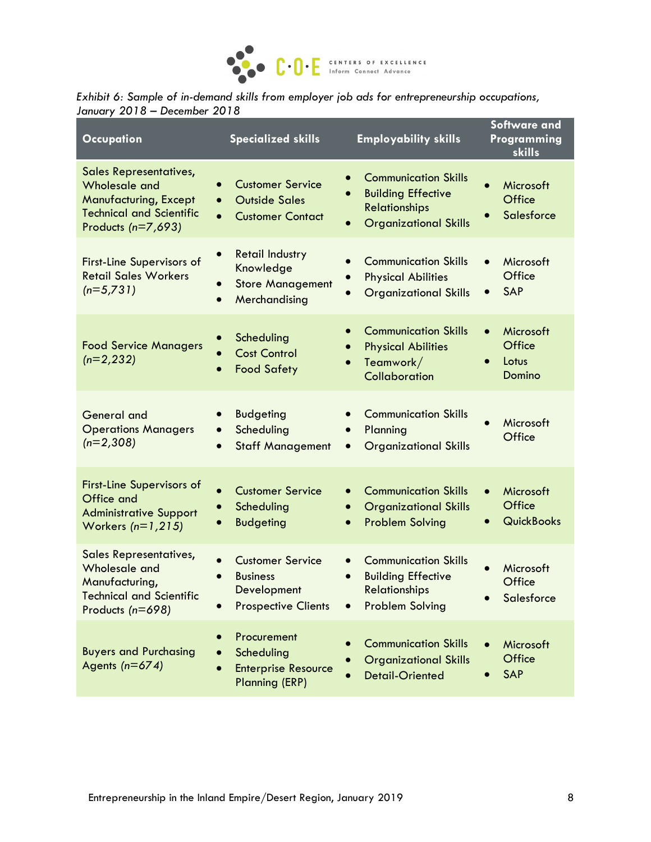

| Exhibit 6: Sample of in-demand skills from employer job ads for entrepreneurship occupations, |  |  |
|-----------------------------------------------------------------------------------------------|--|--|
| January 2018 – December 2018                                                                  |  |  |

| <b>Occupation</b>                                                                                                                                | <b>Specialized skills</b>                                                                                              | <b>Employability skills</b>                                                                                      | <b>Software and</b><br>Programming<br>skills          |
|--------------------------------------------------------------------------------------------------------------------------------------------------|------------------------------------------------------------------------------------------------------------------------|------------------------------------------------------------------------------------------------------------------|-------------------------------------------------------|
| <b>Sales Representatives,</b><br><b>Wholesale and</b><br><b>Manufacturing, Except</b><br><b>Technical and Scientific</b><br>Products $(n=7,693)$ | <b>Customer Service</b><br>$\bullet$<br><b>Outside Sales</b><br>$\bullet$<br><b>Customer Contact</b><br>$\bullet$      | <b>Communication Skills</b><br><b>Building Effective</b><br><b>Relationships</b><br><b>Organizational Skills</b> | Microsoft<br>$\bullet$<br>Office<br>Salesforce        |
| <b>First-Line Supervisors of</b><br><b>Retail Sales Workers</b><br>$(n=5,731)$                                                                   | <b>Retail Industry</b><br>$\bullet$<br>Knowledge<br><b>Store Management</b><br>$\bullet$<br>Merchandising<br>$\bullet$ | <b>Communication Skills</b><br><b>Physical Abilities</b><br><b>Organizational Skills</b>                         | Microsoft<br>$\bullet$<br>Office<br>SAP<br>$\bullet$  |
| <b>Food Service Managers</b><br>$(n=2,232)$                                                                                                      | Scheduling<br>$\bullet$<br><b>Cost Control</b><br><b>Food Safety</b>                                                   | <b>Communication Skills</b><br><b>Physical Abilities</b><br>Teamwork/<br>Collaboration                           | Microsoft<br>$\bullet$<br>Office<br>Lotus<br>Domino   |
| <b>General</b> and<br><b>Operations Managers</b><br>$(n=2,308)$                                                                                  | <b>Budgeting</b><br>$\bullet$<br>Scheduling<br>$\bullet$<br><b>Staff Management</b>                                    | <b>Communication Skills</b><br>Planning<br><b>Organizational Skills</b>                                          | Microsoft<br>Office                                   |
| <b>First-Line Supervisors of</b><br>Office and<br><b>Administrative Support</b><br>Workers $(n=1,215)$                                           | <b>Customer Service</b><br>$\bullet$<br>Scheduling<br><b>Budgeting</b>                                                 | <b>Communication Skills</b><br><b>Organizational Skills</b><br><b>Problem Solving</b>                            | Microsoft<br>$\bullet$<br>Office<br><b>QuickBooks</b> |
| <b>Sales Representatives,</b><br>Wholesale and<br>Manufacturing,<br><b>Technical and Scientific</b><br>Products (n=698)                          | <b>Customer Service</b><br><b>Business</b><br>Development<br><b>Prospective Clients</b>                                | <b>Communication Skills</b><br><b>Building Effective</b><br><b>Relationships</b><br><b>Problem Solving</b>       | Microsoft<br>$\bullet$<br>Office<br>Salesforce        |
| <b>Buyers and Purchasing</b><br>Agents $(n=674)$                                                                                                 | Procurement<br>Scheduling<br><b>Enterprise Resource</b><br><b>Planning (ERP)</b>                                       | <b>Communication Skills</b><br><b>Organizational Skills</b><br><b>Detail-Oriented</b>                            | Microsoft<br>Office<br><b>SAP</b>                     |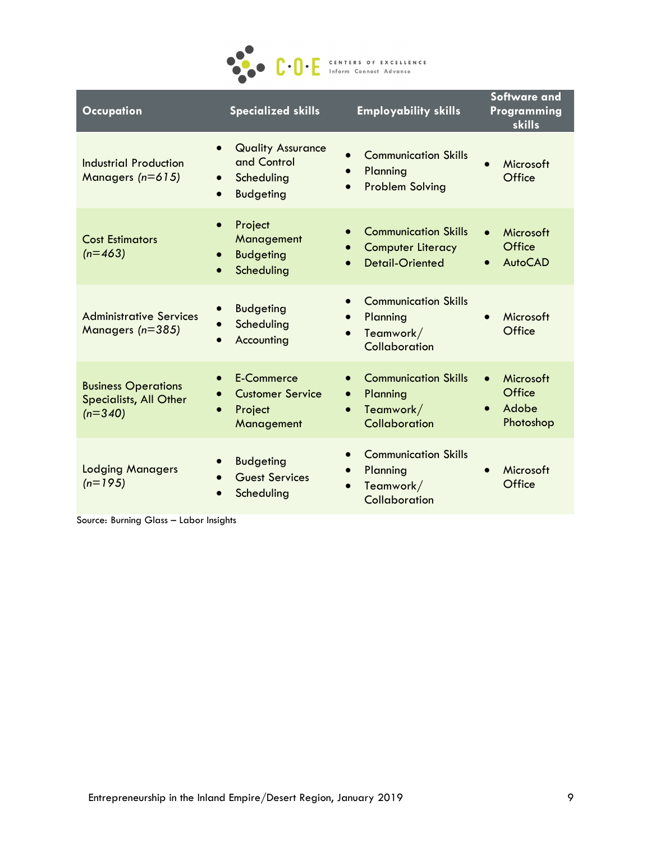

| <b>Occupation</b>                                                 | <b>Specialized skills</b>                                                                                        | <b>Employability skills</b>                                                        | <b>Software and</b><br>Programming<br>skills                    |
|-------------------------------------------------------------------|------------------------------------------------------------------------------------------------------------------|------------------------------------------------------------------------------------|-----------------------------------------------------------------|
| Industrial Production<br>Managers (n=615)                         | <b>Quality Assurance</b><br>$\bullet$<br>and Control<br>Scheduling<br>$\bullet$<br><b>Budgeting</b><br>$\bullet$ | <b>Communication Skills</b><br>Planning<br>$\bullet$<br><b>Problem Solving</b>     | Microsoft<br>Office                                             |
| <b>Cost Estimators</b><br>$(n=463)$                               | Project<br>$\bullet$<br>Management<br><b>Budgeting</b><br>$\bullet$<br>Scheduling<br>$\bullet$                   | <b>Communication Skills</b><br><b>Computer Literacy</b><br><b>Detail-Oriented</b>  | Microsoft<br>$\bullet$<br>Office<br><b>AutoCAD</b><br>$\bullet$ |
| <b>Administrative Services</b><br>Managers (n=385)                | <b>Budgeting</b><br>Scheduling<br>Accounting                                                                     | <b>Communication Skills</b><br>Planning<br>$\bullet$<br>Teamwork/<br>Collaboration | Microsoft<br>Office                                             |
| <b>Business Operations</b><br>Specialists, All Other<br>$(n=340)$ | E-Commerce<br>$\bullet$<br><b>Customer Service</b><br>Project<br>Management                                      | <b>Communication Skills</b><br>Planning<br>$\bullet$<br>Teamwork/<br>Collaboration | Microsoft<br>$\bullet$<br>Office<br>Adobe<br>Photoshop          |
| <b>Lodging Managers</b><br>$(n=195)$                              | <b>Budgeting</b><br>$\bullet$<br><b>Guest Services</b><br>Scheduling                                             | <b>Communication Skills</b><br>Planning<br>Teamwork/<br>Collaboration              | Microsoft<br>Office                                             |

Source: Burning Glass – Labor Insights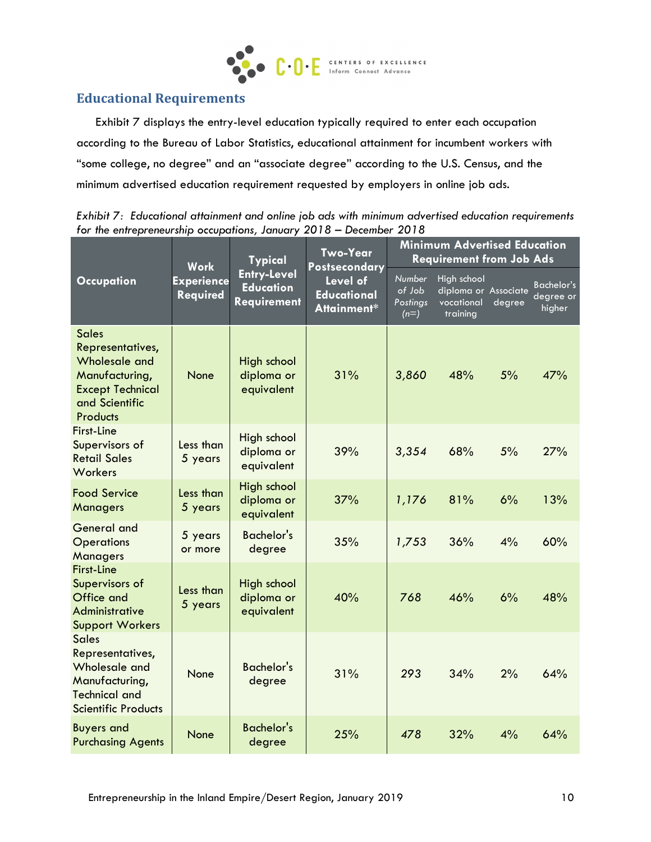

# **Educational Requirements**

Exhibit 7 displays the entry-level education typically required to enter each occupation according to the Bureau of Labor Statistics, educational attainment for incumbent workers with "some college, no degree" and an "associate degree" according to the U.S. Census, and the minimum advertised education requirement requested by employers in online job ads.

|                                                                                                                                     | <b>Work</b>                                                                                                                                           | <b>Typical</b>                          | <b>Two-Year</b><br><b>Postsecondary</b> |                                                               | <b>Minimum Advertised Education</b><br><b>Requirement from Job Ads</b> |                                          |     |
|-------------------------------------------------------------------------------------------------------------------------------------|-------------------------------------------------------------------------------------------------------------------------------------------------------|-----------------------------------------|-----------------------------------------|---------------------------------------------------------------|------------------------------------------------------------------------|------------------------------------------|-----|
| <b>Occupation</b>                                                                                                                   | <b>Entry-Level</b><br><b>Experience</b><br>Level of<br><b>Education</b><br><b>Educational</b><br><b>Required</b><br><b>Requirement</b><br>Attainment* |                                         | Number<br>of Job<br>Postings<br>$(n=)$  | High school<br>diploma or Associate<br>vocational<br>training | degree                                                                 | <b>Bachelor's</b><br>degree or<br>higher |     |
| <b>Sales</b><br>Representatives,<br>Wholesale and<br>Manufacturing,<br><b>Except Technical</b><br>and Scientific<br><b>Products</b> | None                                                                                                                                                  | High school<br>diploma or<br>equivalent | 31%                                     | 3,860                                                         | 48%                                                                    | 5%                                       | 47% |
| <b>First-Line</b><br>Supervisors of<br><b>Retail Sales</b><br>Workers                                                               | Less than<br>5 years                                                                                                                                  | High school<br>diploma or<br>equivalent | 39%                                     | 3,354                                                         | 68%                                                                    | 5%                                       | 27% |
| <b>Food Service</b><br>Managers                                                                                                     | Less than<br>5 years                                                                                                                                  | High school<br>diploma or<br>equivalent | 37%                                     | 1,176                                                         | 81%                                                                    | 6%                                       | 13% |
| General and<br><b>Operations</b><br><b>Managers</b>                                                                                 | 5 years<br>or more                                                                                                                                    | <b>Bachelor's</b><br>degree             | 35%                                     | 1,753                                                         | 36%                                                                    | 4%                                       | 60% |
| <b>First-Line</b><br>Supervisors of<br>Office and<br>Administrative<br><b>Support Workers</b>                                       | Less than<br>5 years                                                                                                                                  | High school<br>diploma or<br>equivalent | 40%                                     | 768                                                           | 46%                                                                    | 6%                                       | 48% |
| <b>Sales</b><br>Representatives,<br>Wholesale and<br>Manufacturing,<br><b>Technical and</b><br><b>Scientific Products</b>           | <b>None</b>                                                                                                                                           | <b>Bachelor's</b><br>degree             | 31%                                     | 293                                                           | 34%                                                                    | 2%                                       | 64% |
| <b>Buyers and</b><br><b>Purchasing Agents</b>                                                                                       | None                                                                                                                                                  | <b>Bachelor's</b><br>degree             | 25%                                     | 478                                                           | 32%                                                                    | 4%                                       | 64% |

*Exhibit 7: Educational attainment and online job ads with minimum advertised education requirements for the entrepreneurship occupations, January 2018 – December 2018*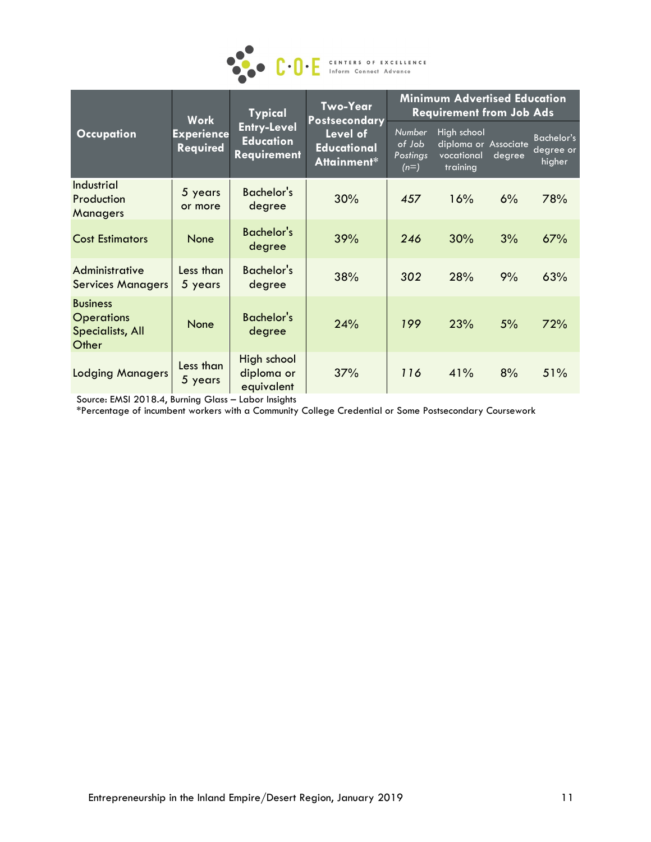

|                                                                          | <b>Typical</b><br><b>Work</b>        | Two-Year<br><b>Postsecondary</b>                             | <b>Minimum Advertised Education</b><br><b>Requirement from Job Ads</b> |                                               |                                                               |        |                                          |
|--------------------------------------------------------------------------|--------------------------------------|--------------------------------------------------------------|------------------------------------------------------------------------|-----------------------------------------------|---------------------------------------------------------------|--------|------------------------------------------|
| <b>Occupation</b>                                                        | <b>Experience</b><br><b>Required</b> | <b>Entry-Level</b><br><b>Education</b><br><b>Requirement</b> | Level of<br><b>Educational</b><br>Attainment*                          | <b>Number</b><br>of Job<br>Postings<br>$(n=)$ | High school<br>diploma or Associate<br>vocational<br>training | degree | <b>Bachelor's</b><br>degree or<br>higher |
| Industrial<br>Production<br><b>Managers</b>                              | 5 years<br>or more                   | Bachelor's<br>degree                                         | 30%                                                                    | 457                                           | 16%                                                           | 6%     | 78%                                      |
| <b>Cost Estimators</b>                                                   | <b>None</b>                          | <b>Bachelor's</b><br>degree                                  | 39%                                                                    | 246                                           | 30%                                                           | 3%     | 67%                                      |
| Administrative<br><b>Services Managers</b>                               | Less than<br>5 years                 | Bachelor's<br>degree                                         | 38%                                                                    | 302                                           | 28%                                                           | 9%     | 63%                                      |
| <b>Business</b><br><b>Operations</b><br><b>Specialists, All</b><br>Other | None                                 | <b>Bachelor's</b><br>degree                                  | 24%                                                                    | 199                                           | 23%                                                           | 5%     | 72%                                      |
| <b>Lodging Managers</b>                                                  | Less than<br>5 years                 | High school<br>diploma or<br>equivalent                      | 37%                                                                    | 116                                           | 41%                                                           | 8%     | 51%                                      |

Source: EMSI 2018.4, Burning Glass – Labor Insights

\*Percentage of incumbent workers with a Community College Credential or Some Postsecondary Coursework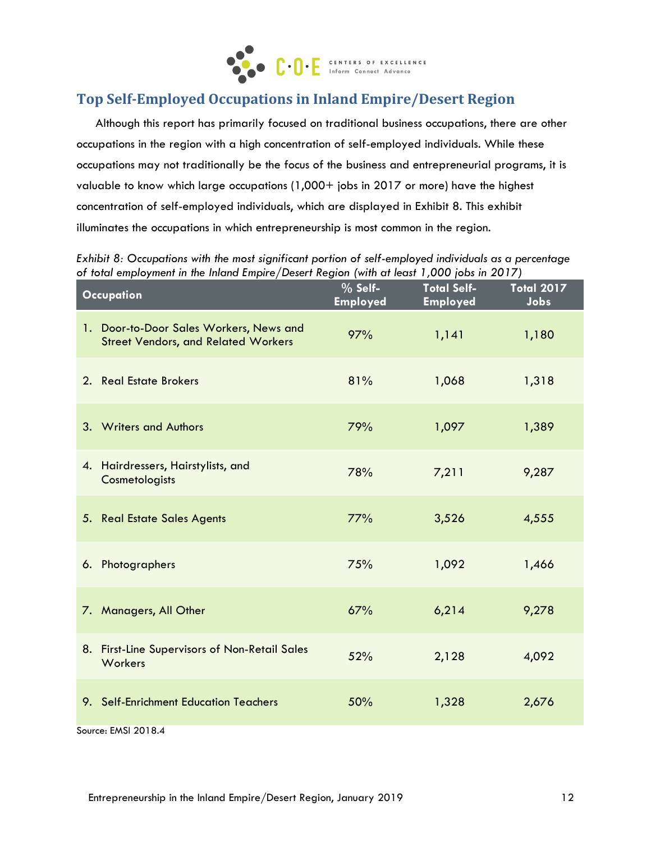

# **Top Self-Employed Occupations in Inland Empire/Desert Region**

Although this report has primarily focused on traditional business occupations, there are other occupations in the region with a high concentration of self-employed individuals. While these occupations may not traditionally be the focus of the business and entrepreneurial programs, it is valuable to know which large occupations (1,000+ jobs in 2017 or more) have the highest concentration of self-employed individuals, which are displayed in Exhibit 8. This exhibit illuminates the occupations in which entrepreneurship is most common in the region.

*Exhibit 8: Occupations with the most significant portion of self-employed individuals as a percentage of total employment in the Inland Empire/Desert Region (with at least 1,000 jobs in 2017)*

| <b>Occupation</b>                                                                     | % Self-<br><b>Employed</b> | <b>Total Self-</b><br><b>Employed</b> | <b>Total 2017</b><br>Jobs |
|---------------------------------------------------------------------------------------|----------------------------|---------------------------------------|---------------------------|
| 1. Door-to-Door Sales Workers, News and<br><b>Street Vendors, and Related Workers</b> | 97%                        | 1,141                                 | 1,180                     |
| 2. Real Estate Brokers                                                                | 81%                        | 1,068                                 | 1,318                     |
| 3. Writers and Authors                                                                | 79%                        | 1,097                                 | 1,389                     |
| 4. Hairdressers, Hairstylists, and<br>Cosmetologists                                  | 78%                        | 7,211                                 | 9,287                     |
| 5. Real Estate Sales Agents                                                           | 77%                        | 3,526                                 | 4,555                     |
| 6. Photographers                                                                      | 75%                        | 1,092                                 | 1,466                     |
| 7. Managers, All Other                                                                | 67%                        | 6,214                                 | 9,278                     |
| 8. First-Line Supervisors of Non-Retail Sales<br>Workers                              | 52%                        | 2,128                                 | 4,092                     |
| 9. Self-Enrichment Education Teachers                                                 | 50%                        | 1,328                                 | 2,676                     |
| Source: EMSI 2018.4                                                                   |                            |                                       |                           |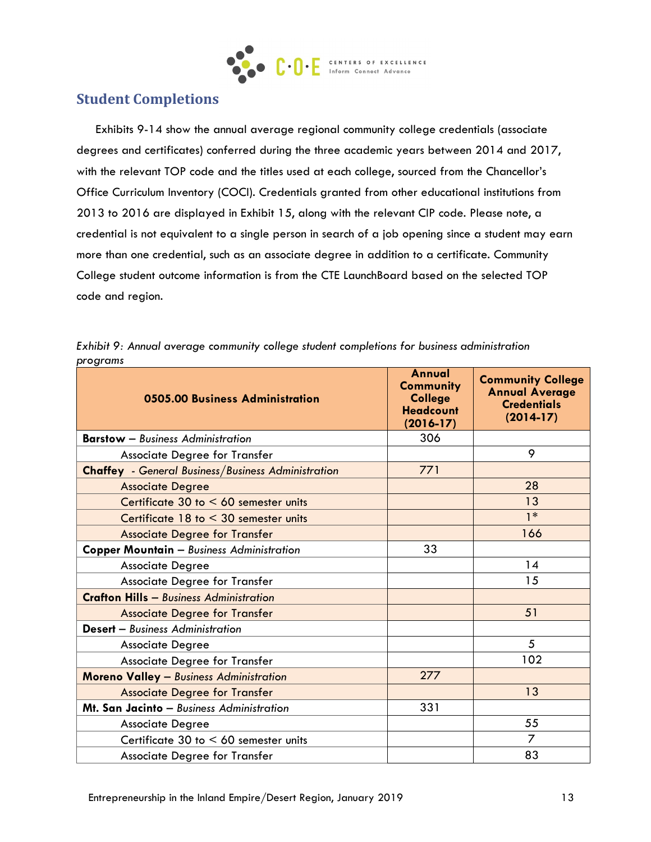

# **Student Completions**

Exhibits 9-14 show the annual average regional community college credentials (associate degrees and certificates) conferred during the three academic years between 2014 and 2017, with the relevant TOP code and the titles used at each college, sourced from the Chancellor's Office Curriculum Inventory (COCI). Credentials granted from other educational institutions from 2013 to 2016 are displayed in Exhibit 15, along with the relevant CIP code. Please note, a credential is not equivalent to a single person in search of a job opening since a student may earn more than one credential, such as an associate degree in addition to a certificate. Community College student outcome information is from the CTE LaunchBoard based on the selected TOP code and region.

| 0505.00 Business Administration                           | Annual<br><b>Community</b><br><b>College</b><br><b>Headcount</b><br>$(2016 - 17)$ | <b>Community College</b><br><b>Annual Average</b><br><b>Credentials</b><br>$(2014-17)$ |
|-----------------------------------------------------------|-----------------------------------------------------------------------------------|----------------------------------------------------------------------------------------|
| <b>Barstow</b> - Business Administration                  | 306                                                                               |                                                                                        |
| Associate Degree for Transfer                             |                                                                                   | 9                                                                                      |
| <b>Chaffey</b> - General Business/Business Administration | 771                                                                               |                                                                                        |
| <b>Associate Degree</b>                                   |                                                                                   | 28                                                                                     |
| Certificate $30$ to $< 60$ semester units                 |                                                                                   | 13                                                                                     |
| Certificate $18$ to $\leq 30$ semester units              |                                                                                   | $1*$                                                                                   |
| <b>Associate Degree for Transfer</b>                      |                                                                                   | 166                                                                                    |
| <b>Copper Mountain - Business Administration</b>          | 33                                                                                |                                                                                        |
| <b>Associate Degree</b>                                   |                                                                                   | 14                                                                                     |
| Associate Degree for Transfer                             |                                                                                   | 15                                                                                     |
| <b>Crafton Hills - Business Administration</b>            |                                                                                   |                                                                                        |
| <b>Associate Degree for Transfer</b>                      |                                                                                   | 51                                                                                     |
| <b>Desert</b> - Business Administration                   |                                                                                   |                                                                                        |
| <b>Associate Degree</b>                                   |                                                                                   | 5                                                                                      |
| Associate Degree for Transfer                             |                                                                                   | 102                                                                                    |
| <b>Moreno Valley - Business Administration</b>            | 277                                                                               |                                                                                        |
| <b>Associate Degree for Transfer</b>                      |                                                                                   | 13                                                                                     |
| Mt. San Jacinto - Business Administration                 | 331                                                                               |                                                                                        |
| <b>Associate Degree</b>                                   |                                                                                   | 55                                                                                     |
| Certificate 30 to $< 60$ semester units                   |                                                                                   | $\overline{z}$                                                                         |
| Associate Degree for Transfer                             |                                                                                   | 83                                                                                     |

*Exhibit 9: Annual average community college student completions for business administration programs*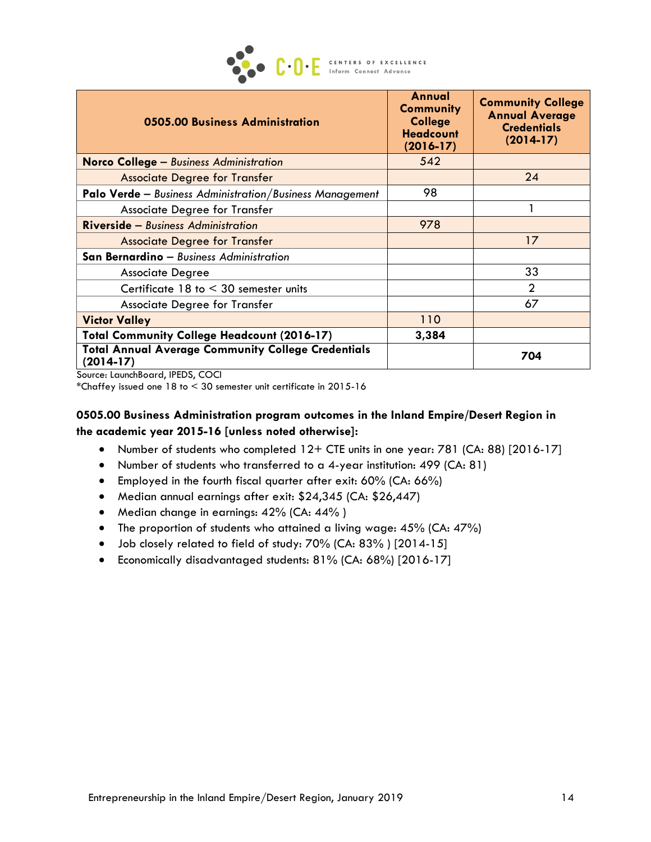

| 0505.00 Business Administration                                          | Annual<br><b>Community</b><br><b>College</b><br><b>Headcount</b><br>$(2016 - 17)$ | <b>Community College</b><br><b>Annual Average</b><br><b>Credentials</b><br>$(2014-17)$ |
|--------------------------------------------------------------------------|-----------------------------------------------------------------------------------|----------------------------------------------------------------------------------------|
| <b>Norco College – Business Administration</b>                           | 542                                                                               |                                                                                        |
| <b>Associate Degree for Transfer</b>                                     |                                                                                   | 24                                                                                     |
| <b>Palo Verde</b> - Business Administration/Business Management          | 98                                                                                |                                                                                        |
| Associate Degree for Transfer                                            |                                                                                   |                                                                                        |
| <b>Riverside - Business Administration</b>                               | 978                                                                               |                                                                                        |
| <b>Associate Degree for Transfer</b>                                     |                                                                                   | 17                                                                                     |
| San Bernardino - Business Administration                                 |                                                                                   |                                                                                        |
| <b>Associate Degree</b>                                                  |                                                                                   | 33                                                                                     |
| Certificate $18$ to $\leq 30$ semester units                             |                                                                                   | $\overline{2}$                                                                         |
| Associate Degree for Transfer                                            |                                                                                   | 67                                                                                     |
| <b>Victor Valley</b>                                                     | 110                                                                               |                                                                                        |
| <b>Total Community College Headcount (2016-17)</b>                       | 3,384                                                                             |                                                                                        |
| <b>Total Annual Average Community College Credentials</b><br>$(2014-17)$ |                                                                                   | 704                                                                                    |

Source: LaunchBoard, IPEDS, COCI

\*Chaffey issued one 18 to < 30 semester unit certificate in 2015-16

#### **0505.00 Business Administration program outcomes in the Inland Empire/Desert Region in the academic year 2015-16 [unless noted otherwise]:**

- Number of students who completed 12+ CTE units in one year: 781 (CA: 88) [2016-17]
- Number of students who transferred to a 4-year institution: 499 (CA: 81)
- Employed in the fourth fiscal quarter after exit: 60% (CA: 66%)
- Median annual earnings after exit: \$24,345 (CA: \$26,447)
- Median change in earnings: 42% (CA: 44%)
- The proportion of students who attained a living wage: 45% (CA: 47%)
- Job closely related to field of study: 70% (CA: 83% ) [2014-15]
- Economically disadvantaged students: 81% (CA: 68%) [2016-17]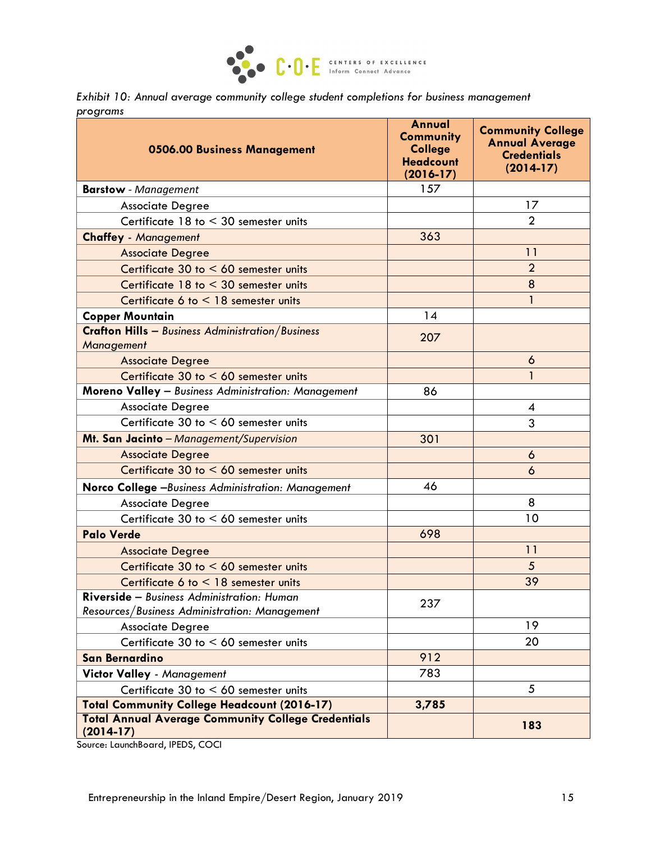

*Exhibit 10: Annual average community college student completions for business management programs*

| 0506.00 Business Management                                                                        | Annual<br><b>Community</b><br><b>College</b><br><b>Headcount</b><br>$(2016 - 17)$ | <b>Community College</b><br><b>Annual Average</b><br><b>Credentials</b><br>$(2014-17)$ |
|----------------------------------------------------------------------------------------------------|-----------------------------------------------------------------------------------|----------------------------------------------------------------------------------------|
| <b>Barstow</b> - Management                                                                        | 157                                                                               |                                                                                        |
| <b>Associate Degree</b>                                                                            |                                                                                   | 17                                                                                     |
| Certificate $18$ to $\leq 30$ semester units                                                       |                                                                                   | $\overline{2}$                                                                         |
| <b>Chaffey - Management</b>                                                                        | 363                                                                               |                                                                                        |
| <b>Associate Degree</b>                                                                            |                                                                                   | 11                                                                                     |
| Certificate 30 to < 60 semester units                                                              |                                                                                   | $\overline{2}$                                                                         |
| Certificate $18$ to $\leq 30$ semester units                                                       |                                                                                   | 8                                                                                      |
| Certificate 6 to $<$ 18 semester units                                                             |                                                                                   | $\mathbf{1}$                                                                           |
| <b>Copper Mountain</b>                                                                             | 14                                                                                |                                                                                        |
| <b>Crafton Hills</b> - Business Administration/Business<br><b>Management</b>                       | 207                                                                               |                                                                                        |
| <b>Associate Degree</b>                                                                            |                                                                                   | 6                                                                                      |
| Certificate 30 to < 60 semester units                                                              |                                                                                   | 1                                                                                      |
| Moreno Valley - Business Administration: Management                                                | 86                                                                                |                                                                                        |
| <b>Associate Degree</b>                                                                            |                                                                                   | 4                                                                                      |
| Certificate 30 to $< 60$ semester units                                                            |                                                                                   | 3                                                                                      |
| Mt. San Jacinto - Management/Supervision                                                           | 301                                                                               |                                                                                        |
| <b>Associate Degree</b>                                                                            |                                                                                   | 6                                                                                      |
| Certificate $30$ to $\leq 60$ semester units                                                       |                                                                                   | 6                                                                                      |
| Norco College -Business Administration: Management                                                 | 46                                                                                |                                                                                        |
| <b>Associate Degree</b>                                                                            |                                                                                   | 8                                                                                      |
| Certificate 30 to $< 60$ semester units                                                            |                                                                                   | 10                                                                                     |
| <b>Palo Verde</b>                                                                                  | 698                                                                               |                                                                                        |
| <b>Associate Degree</b>                                                                            |                                                                                   | 11                                                                                     |
| Certificate 30 to < 60 semester units                                                              |                                                                                   | 5                                                                                      |
| Certificate 6 to $<$ 18 semester units                                                             |                                                                                   | 39                                                                                     |
| <b>Riverside</b> – Business Administration: Human<br>Resources/Business Administration: Management | 237                                                                               |                                                                                        |
| <b>Associate Degree</b>                                                                            |                                                                                   | 19                                                                                     |
| Certificate $30$ to $< 60$ semester units                                                          |                                                                                   | 20                                                                                     |
| <b>San Bernardino</b>                                                                              | 912                                                                               |                                                                                        |
| Victor Valley - Management                                                                         | 783                                                                               |                                                                                        |
| Certificate 30 to $< 60$ semester units                                                            |                                                                                   | 5                                                                                      |
| <b>Total Community College Headcount (2016-17)</b>                                                 | 3,785                                                                             |                                                                                        |
| <b>Total Annual Average Community College Credentials</b><br>$(2014-17)$                           |                                                                                   | 183                                                                                    |

Source: LaunchBoard, IPEDS, COCI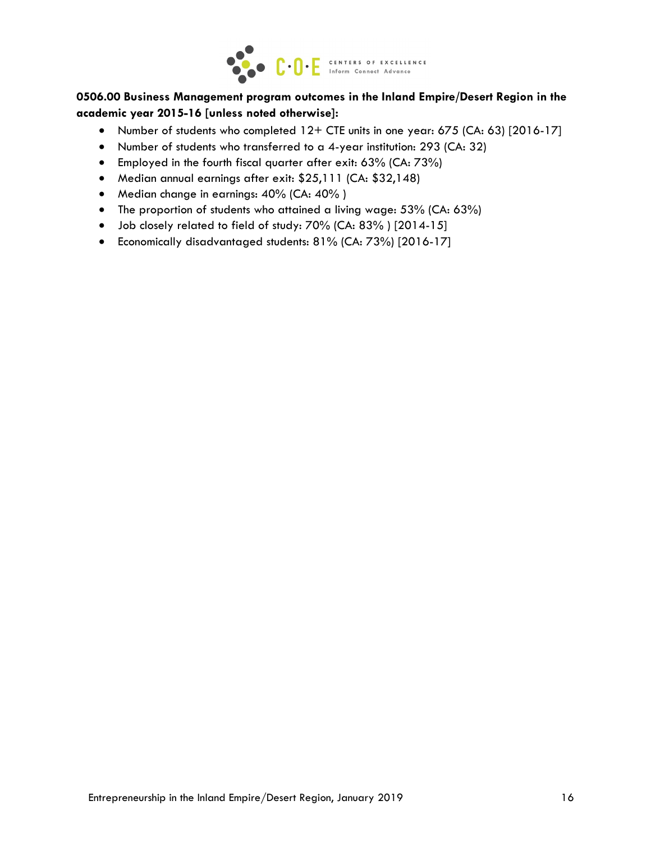

#### **0506.00 Business Management program outcomes in the Inland Empire/Desert Region in the academic year 2015-16 [unless noted otherwise]:**

- Number of students who completed 12+ CTE units in one year: 675 (CA: 63) [2016-17]
- Number of students who transferred to a 4-year institution: 293 (CA: 32)
- Employed in the fourth fiscal quarter after exit: 63% (CA: 73%)
- Median annual earnings after exit: \$25,111 (CA: \$32,148)
- Median change in earnings: 40% (CA: 40%)
- The proportion of students who attained a living wage: 53% (CA: 63%)
- Job closely related to field of study: 70% (CA: 83% ) [2014-15]
- Economically disadvantaged students: 81% (CA: 73%) [2016-17]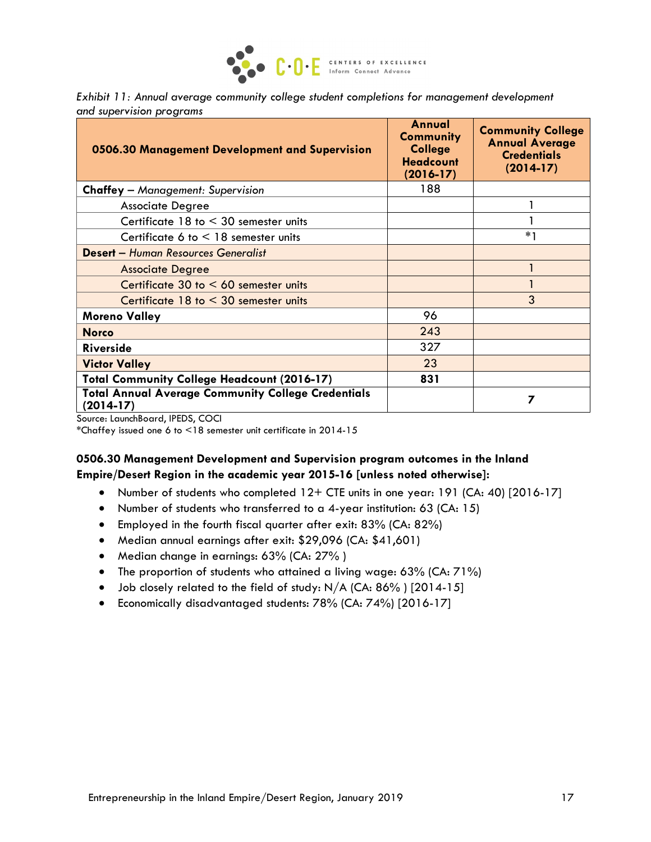

*Exhibit 11: Annual average community college student completions for management development and supervision programs*

| 0506.30 Management Development and Supervision                                                          | Annual<br><b>Community</b><br><b>College</b><br><b>Headcount</b><br>$(2016 - 17)$ | <b>Community College</b><br><b>Annual Average</b><br><b>Credentials</b><br>$(2014-17)$ |
|---------------------------------------------------------------------------------------------------------|-----------------------------------------------------------------------------------|----------------------------------------------------------------------------------------|
| <b>Chaffey</b> - Management: Supervision                                                                | 188                                                                               |                                                                                        |
| <b>Associate Degree</b>                                                                                 |                                                                                   |                                                                                        |
| Certificate $18$ to $\leq 30$ semester units                                                            |                                                                                   |                                                                                        |
| Certificate 6 to $\leq$ 18 semester units                                                               |                                                                                   | $*_{1}$                                                                                |
| <b>Desert</b> - Human Resources Generalist                                                              |                                                                                   |                                                                                        |
| <b>Associate Degree</b>                                                                                 |                                                                                   |                                                                                        |
| Certificate $30$ to $< 60$ semester units                                                               |                                                                                   |                                                                                        |
| Certificate $18$ to $\leq 30$ semester units                                                            |                                                                                   | 3                                                                                      |
| <b>Moreno Valley</b>                                                                                    | 96                                                                                |                                                                                        |
| <b>Norco</b>                                                                                            | 243                                                                               |                                                                                        |
| <b>Riverside</b>                                                                                        | 327                                                                               |                                                                                        |
| <b>Victor Valley</b>                                                                                    | 23                                                                                |                                                                                        |
| <b>Total Community College Headcount (2016-17)</b>                                                      | 831                                                                               |                                                                                        |
| <b>Total Annual Average Community College Credentials</b><br>$(2014-17)$<br>$\mathbf{10}$ $\mathbf{10}$ |                                                                                   | 7                                                                                      |

Source: LaunchBoard, IPEDS, COCI

\*Chaffey issued one 6 to <18 semester unit certificate in 2014-15

#### **0506.30 Management Development and Supervision program outcomes in the Inland Empire/Desert Region in the academic year 2015-16 [unless noted otherwise]:**

- Number of students who completed 12+ CTE units in one year: 191 (CA: 40) [2016-17]
- Number of students who transferred to a 4-year institution: 63 (CA: 15)
- Employed in the fourth fiscal quarter after exit: 83% (CA: 82%)
- Median annual earnings after exit: \$29,096 (CA: \$41,601)
- Median change in earnings: 63% (CA: 27%)
- The proportion of students who attained a living wage: 63% (CA: 71%)
- Job closely related to the field of study: N/A (CA: 86%) [2014-15]
- Economically disadvantaged students: 78% (CA: 74%) [2016-17]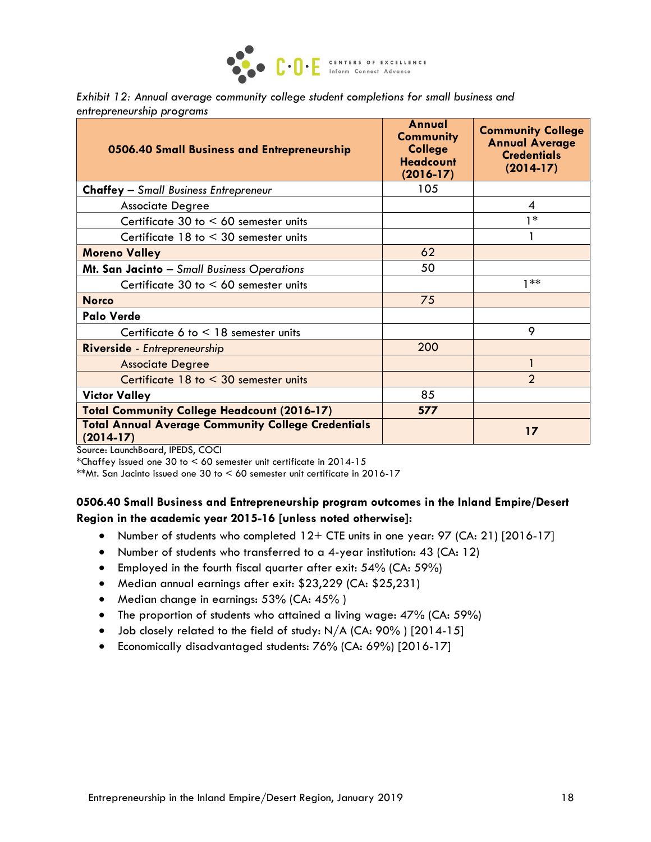

| Exhibit 12: Annual average community college student completions for small business and |  |  |
|-----------------------------------------------------------------------------------------|--|--|
| entrepreneurship programs                                                               |  |  |

| 0506.40 Small Business and Entrepreneurship                              | Annual<br><b>Community</b><br><b>College</b><br><b>Headcount</b><br>$(2016 - 17)$ | <b>Community College</b><br><b>Annual Average</b><br><b>Credentials</b><br>$(2014-17)$ |
|--------------------------------------------------------------------------|-----------------------------------------------------------------------------------|----------------------------------------------------------------------------------------|
| <b>Chaffey</b> - Small Business Entrepreneur                             | 105                                                                               |                                                                                        |
| <b>Associate Degree</b>                                                  |                                                                                   | 4                                                                                      |
| Certificate 30 to $< 60$ semester units                                  |                                                                                   | 1*                                                                                     |
| Certificate $18$ to $\leq 30$ semester units                             |                                                                                   |                                                                                        |
| <b>Moreno Valley</b>                                                     | 62                                                                                |                                                                                        |
| Mt. San Jacinto - Small Business Operations                              | 50                                                                                |                                                                                        |
| Certificate 30 to $< 60$ semester units                                  |                                                                                   | $1**$                                                                                  |
| <b>Norco</b>                                                             | 75                                                                                |                                                                                        |
| <b>Palo Verde</b>                                                        |                                                                                   |                                                                                        |
| Certificate 6 to $<$ 18 semester units                                   |                                                                                   | 9                                                                                      |
| Riverside - Entrepreneurship                                             | 200                                                                               |                                                                                        |
| <b>Associate Degree</b>                                                  |                                                                                   | 1                                                                                      |
| Certificate 18 to < 30 semester units                                    |                                                                                   | $\mathcal{P}$                                                                          |
| <b>Victor Valley</b>                                                     | 85                                                                                |                                                                                        |
| <b>Total Community College Headcount (2016-17)</b>                       | 577                                                                               |                                                                                        |
| <b>Total Annual Average Community College Credentials</b><br>$(2014-17)$ |                                                                                   | 17                                                                                     |

Source: LaunchBoard, IPEDS, COCI

\*Chaffey issued one 30 to < 60 semester unit certificate in 2014-15

\*\*Mt. San Jacinto issued one 30 to < 60 semester unit certificate in 2016-17

#### **0506.40 Small Business and Entrepreneurship program outcomes in the Inland Empire/Desert Region in the academic year 2015-16 [unless noted otherwise]:**

- Number of students who completed 12+ CTE units in one year: 97 (CA: 21) [2016-17]
- Number of students who transferred to a 4-year institution: 43 (CA: 12)
- Employed in the fourth fiscal quarter after exit: 54% (CA: 59%)
- Median annual earnings after exit: \$23,229 (CA: \$25,231)
- Median change in earnings: 53% (CA: 45%)
- The proportion of students who attained a living wage: 47% (CA: 59%)
- Job closely related to the field of study:  $N/A$  (CA:  $90\%$ ) [2014-15]
- Economically disadvantaged students: 76% (CA: 69%) [2016-17]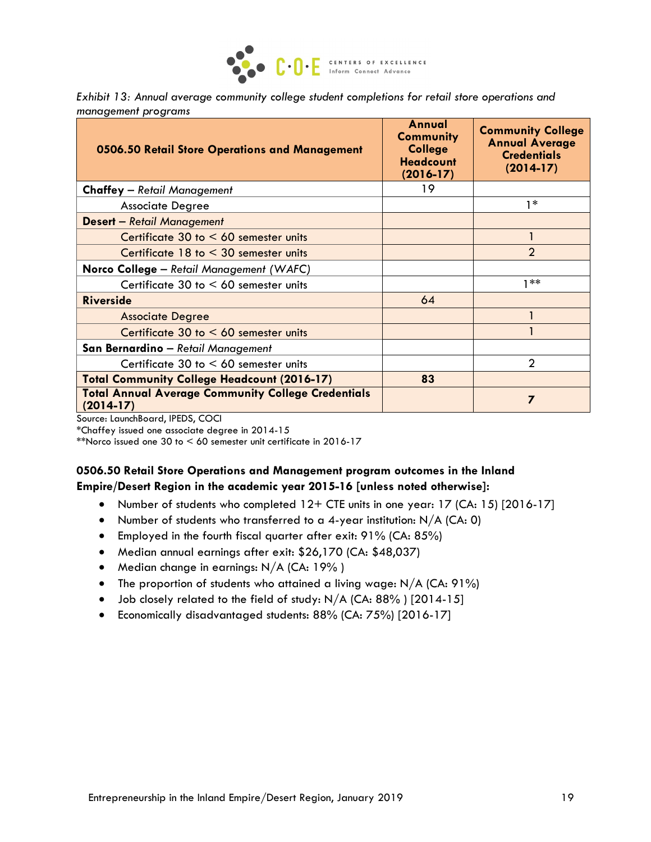

*Exhibit 13: Annual average community college student completions for retail store operations and management programs*

| 0506.50 Retail Store Operations and Management                           | Annual<br><b>Community</b><br><b>College</b><br><b>Headcount</b><br>$(2016 - 17)$ | <b>Community College</b><br><b>Annual Average</b><br><b>Credentials</b><br>$(2014-17)$ |
|--------------------------------------------------------------------------|-----------------------------------------------------------------------------------|----------------------------------------------------------------------------------------|
| <b>Chaffey</b> - Retail Management                                       | 19                                                                                |                                                                                        |
| <b>Associate Degree</b>                                                  |                                                                                   | $1*$                                                                                   |
| <b>Desert</b> - Retail Management                                        |                                                                                   |                                                                                        |
| Certificate $30$ to $< 60$ semester units                                |                                                                                   |                                                                                        |
| Certificate 18 to < 30 semester units                                    |                                                                                   | $\mathcal{P}$                                                                          |
| Norco College - Retail Management (WAFC)                                 |                                                                                   |                                                                                        |
| Certificate 30 to $< 60$ semester units                                  |                                                                                   | $1**$                                                                                  |
| <b>Riverside</b>                                                         | 64                                                                                |                                                                                        |
| <b>Associate Degree</b>                                                  |                                                                                   |                                                                                        |
| Certificate 30 to $< 60$ semester units                                  |                                                                                   |                                                                                        |
| San Bernardino - Retail Management                                       |                                                                                   |                                                                                        |
| Certificate 30 to $< 60$ semester units                                  |                                                                                   | $\mathcal{P}$                                                                          |
| <b>Total Community College Headcount (2016-17)</b>                       | 83                                                                                |                                                                                        |
| <b>Total Annual Average Community College Credentials</b><br>$(2014-17)$ |                                                                                   |                                                                                        |

Source: LaunchBoard, IPEDS, COCI

\*Chaffey issued one associate degree in 2014-15

\*\*Norco issued one 30 to  $\leq 60$  semester unit certificate in 2016-17

#### **0506.50 Retail Store Operations and Management program outcomes in the Inland Empire/Desert Region in the academic year 2015-16 [unless noted otherwise]:**

- Number of students who completed 12+ CTE units in one year: 17 (CA: 15) [2016-17]
- Number of students who transferred to a 4-year institution:  $N/A$  (CA: 0)
- Employed in the fourth fiscal quarter after exit: 91% (CA: 85%)
- Median annual earnings after exit: \$26,170 (CA: \$48,037)
- Median change in earnings: N/A (CA: 19%)
- The proportion of students who attained a living wage: N/A (CA: 91%)
- Job closely related to the field of study: N/A (CA: 88%) [2014-15]
- Economically disadvantaged students: 88% (CA: 75%) [2016-17]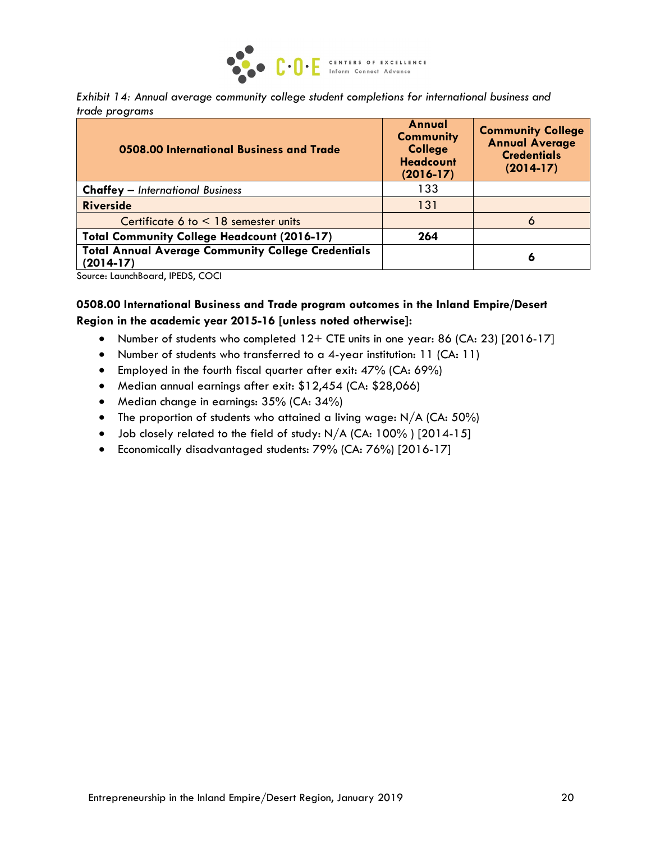

*Exhibit 14: Annual average community college student completions for international business and trade programs*

| 0508.00 International Business and Trade                                 | Annual<br><b>Community</b><br><b>College</b><br><b>Headcount</b><br>$(2016 - 17)$ | <b>Community College</b><br><b>Annual Average</b><br><b>Credentials</b><br>$(2014-17)$ |
|--------------------------------------------------------------------------|-----------------------------------------------------------------------------------|----------------------------------------------------------------------------------------|
| <b>Chaffey</b> - International Business                                  | 133                                                                               |                                                                                        |
| <b>Riverside</b>                                                         | 131                                                                               |                                                                                        |
| Certificate 6 to $<$ 18 semester units                                   |                                                                                   | 6                                                                                      |
| <b>Total Community College Headcount (2016-17)</b>                       | 264                                                                               |                                                                                        |
| <b>Total Annual Average Community College Credentials</b><br>$(2014-17)$ |                                                                                   | 6                                                                                      |

Source: LaunchBoard, IPEDS, COCI

#### **0508.00 International Business and Trade program outcomes in the Inland Empire/Desert Region in the academic year 2015-16 [unless noted otherwise]:**

- Number of students who completed 12+ CTE units in one year: 86 (CA: 23) [2016-17]
- Number of students who transferred to a 4-year institution: 11 (CA: 11)
- Employed in the fourth fiscal quarter after exit: 47% (CA: 69%)
- Median annual earnings after exit: \$12,454 (CA: \$28,066)
- Median change in earnings: 35% (CA: 34%)
- The proportion of students who attained a living wage:  $N/A$  (CA:  $50\%$ )
- Job closely related to the field of study: N/A (CA: 100%) [2014-15]
- Economically disadvantaged students: 79% (CA: 76%) [2016-17]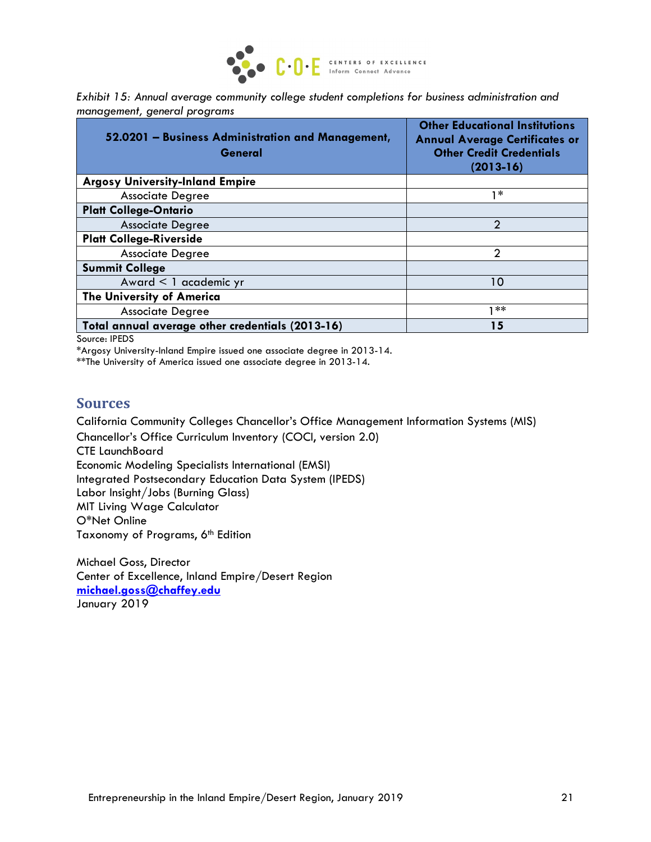

| Exhibit 15: Annual average community college student completions for business administration and |  |  |
|--------------------------------------------------------------------------------------------------|--|--|
| management, general programs                                                                     |  |  |

| 52.0201 - Business Administration and Management,<br>General | <b>Other Educational Institutions</b><br><b>Annual Average Certificates or</b><br><b>Other Credit Credentials</b><br>$(2013 - 16)$ |
|--------------------------------------------------------------|------------------------------------------------------------------------------------------------------------------------------------|
| <b>Argosy University-Inland Empire</b>                       |                                                                                                                                    |
| <b>Associate Degree</b>                                      | $1*$                                                                                                                               |
| <b>Platt College-Ontario</b>                                 |                                                                                                                                    |
| <b>Associate Degree</b>                                      | $\mathcal{P}$                                                                                                                      |
| <b>Platt College-Riverside</b>                               |                                                                                                                                    |
| <b>Associate Degree</b>                                      | $\mathcal{P}$                                                                                                                      |
| <b>Summit College</b>                                        |                                                                                                                                    |
| Award < 1 academic yr                                        | 10                                                                                                                                 |
| <b>The University of America</b>                             |                                                                                                                                    |
| <b>Associate Degree</b>                                      | **                                                                                                                                 |
| Total annual average other credentials (2013-16)             | 15                                                                                                                                 |

Source: IPEDS

\*Argosy University-Inland Empire issued one associate degree in 2013-14.

\*\*The University of America issued one associate degree in 2013-14.

#### **Sources**

California Community Colleges Chancellor's Office Management Information Systems (MIS)

Chancellor's Office Curriculum Inventory (COCI, version 2.0) CTE LaunchBoard Economic Modeling Specialists International (EMSI) Integrated Postsecondary Education Data System (IPEDS) Labor Insight/Jobs (Burning Glass) MIT Living Wage Calculator O\*Net Online Taxonomy of Programs, 6<sup>th</sup> Edition

Michael Goss, Director Center of Excellence, Inland Empire/Desert Region **[michael.goss@chaffey.edu](mailto:michael.goss@chaffey.edu)** January 2019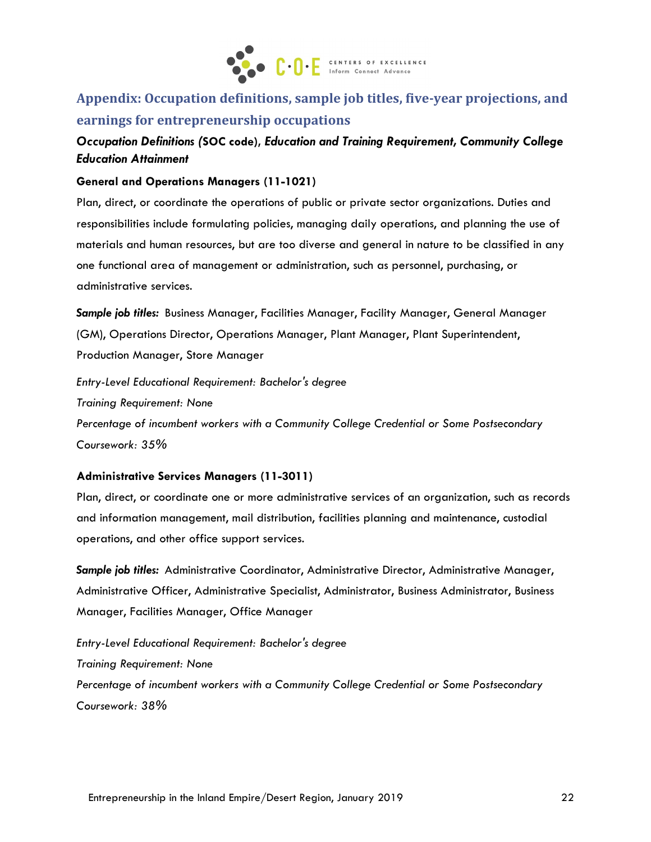

# **Appendix: Occupation definitions, sample job titles, five-year projections, and earnings for entrepreneurship occupations**

## *Occupation Definitions (***SOC code),** *Education and Training Requirement, Community College Education Attainment*

#### **General and Operations Managers (11-1021)**

Plan, direct, or coordinate the operations of public or private sector organizations. Duties and responsibilities include formulating policies, managing daily operations, and planning the use of materials and human resources, but are too diverse and general in nature to be classified in any one functional area of management or administration, such as personnel, purchasing, or administrative services.

*Sample job titles:* Business Manager, Facilities Manager, Facility Manager, General Manager (GM), Operations Director, Operations Manager, Plant Manager, Plant Superintendent, Production Manager, Store Manager

*Entry-Level Educational Requirement: Bachelor's degree Training Requirement: None Percentage of incumbent workers with a Community College Credential or Some Postsecondary Coursework: 35%*

#### **Administrative Services Managers (11-3011)**

Plan, direct, or coordinate one or more administrative services of an organization, such as records and information management, mail distribution, facilities planning and maintenance, custodial operations, and other office support services.

*Sample job titles:* Administrative Coordinator, Administrative Director, Administrative Manager, Administrative Officer, Administrative Specialist, Administrator, Business Administrator, Business Manager, Facilities Manager, Office Manager

*Entry-Level Educational Requirement: Bachelor's degree Training Requirement: None Percentage of incumbent workers with a Community College Credential or Some Postsecondary Coursework: 38%*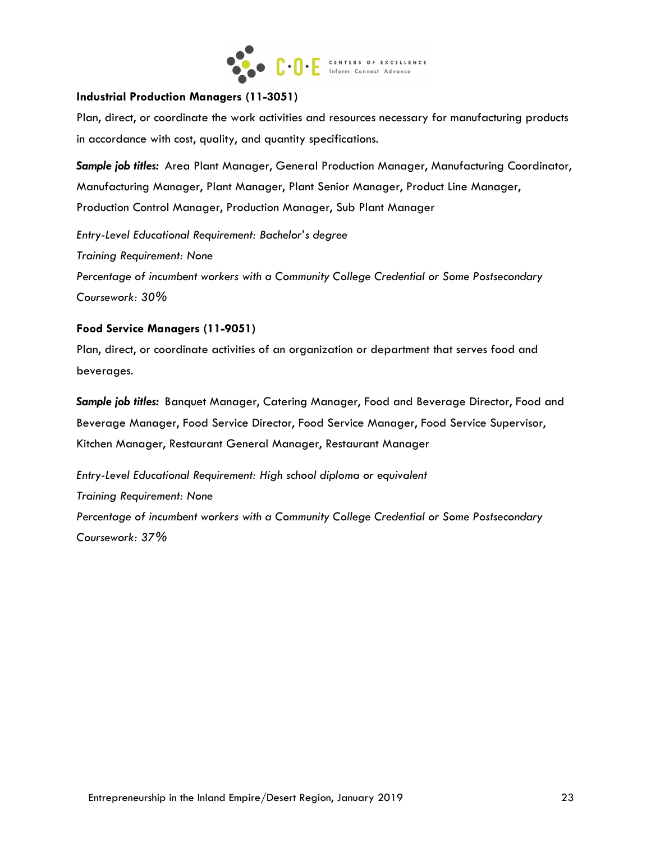

#### **Industrial Production Managers (11-3051)**

Plan, direct, or coordinate the work activities and resources necessary for manufacturing products in accordance with cost, quality, and quantity specifications.

*Sample job titles:* Area Plant Manager, General Production Manager, Manufacturing Coordinator, Manufacturing Manager, Plant Manager, Plant Senior Manager, Product Line Manager, Production Control Manager, Production Manager, Sub Plant Manager

*Entry-Level Educational Requirement: Bachelor's degree Training Requirement: None Percentage of incumbent workers with a Community College Credential or Some Postsecondary* 

*Coursework: 30%*

#### **Food Service Managers (11-9051)**

Plan, direct, or coordinate activities of an organization or department that serves food and beverages.

*Sample job titles:* Banquet Manager, Catering Manager, Food and Beverage Director, Food and Beverage Manager, Food Service Director, Food Service Manager, Food Service Supervisor, Kitchen Manager, Restaurant General Manager, Restaurant Manager

*Entry-Level Educational Requirement: High school diploma or equivalent Training Requirement: None Percentage of incumbent workers with a Community College Credential or Some Postsecondary Coursework: 37%*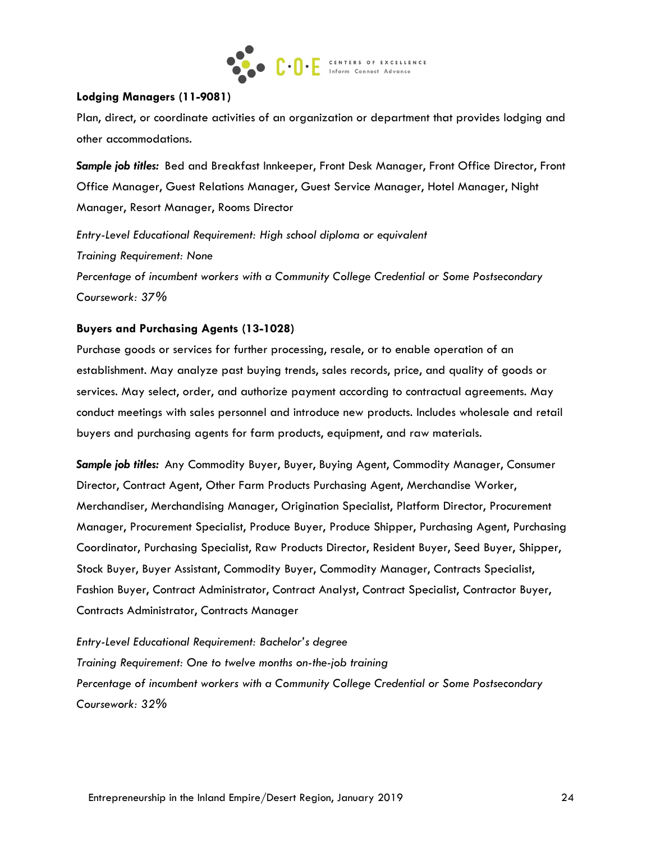

#### **Lodging Managers (11-9081)**

Plan, direct, or coordinate activities of an organization or department that provides lodging and other accommodations.

*Sample job titles:* Bed and Breakfast Innkeeper, Front Desk Manager, Front Office Director, Front Office Manager, Guest Relations Manager, Guest Service Manager, Hotel Manager, Night Manager, Resort Manager, Rooms Director

*Entry-Level Educational Requirement: High school diploma or equivalent Training Requirement: None Percentage of incumbent workers with a Community College Credential or Some Postsecondary Coursework: 37%*

#### **Buyers and Purchasing Agents (13-1028)**

Purchase goods or services for further processing, resale, or to enable operation of an establishment. May analyze past buying trends, sales records, price, and quality of goods or services. May select, order, and authorize payment according to contractual agreements. May conduct meetings with sales personnel and introduce new products. Includes wholesale and retail buyers and purchasing agents for farm products, equipment, and raw materials.

*Sample job titles:* Any Commodity Buyer, Buyer, Buying Agent, Commodity Manager, Consumer Director, Contract Agent, Other Farm Products Purchasing Agent, Merchandise Worker, Merchandiser, Merchandising Manager, Origination Specialist, Platform Director, Procurement Manager, Procurement Specialist, Produce Buyer, Produce Shipper, Purchasing Agent, Purchasing Coordinator, Purchasing Specialist, Raw Products Director, Resident Buyer, Seed Buyer, Shipper, Stock Buyer, Buyer Assistant, Commodity Buyer, Commodity Manager, Contracts Specialist, Fashion Buyer, Contract Administrator, Contract Analyst, Contract Specialist, Contractor Buyer, Contracts Administrator, Contracts Manager

*Entry-Level Educational Requirement: Bachelor's degree Training Requirement: One to twelve months on-the-job training Percentage of incumbent workers with a Community College Credential or Some Postsecondary Coursework: 32%*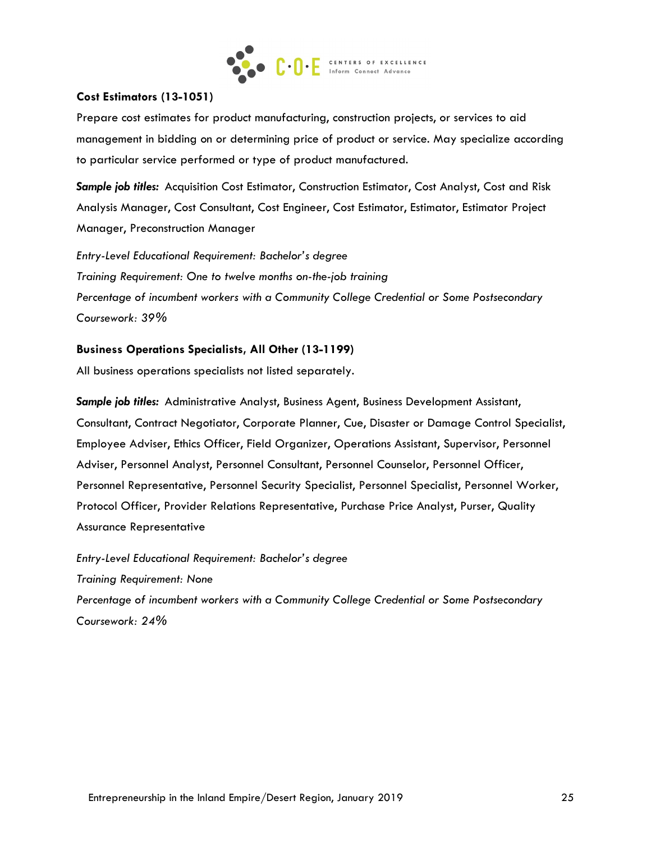

#### **Cost Estimators (13-1051)**

Prepare cost estimates for product manufacturing, construction projects, or services to aid management in bidding on or determining price of product or service. May specialize according to particular service performed or type of product manufactured.

*Sample job titles:* Acquisition Cost Estimator, Construction Estimator, Cost Analyst, Cost and Risk Analysis Manager, Cost Consultant, Cost Engineer, Cost Estimator, Estimator, Estimator Project Manager, Preconstruction Manager

*Entry-Level Educational Requirement: Bachelor's degree Training Requirement: One to twelve months on-the-job training Percentage of incumbent workers with a Community College Credential or Some Postsecondary Coursework: 39%*

#### **Business Operations Specialists, All Other (13-1199)**

All business operations specialists not listed separately.

*Sample job titles:* Administrative Analyst, Business Agent, Business Development Assistant, Consultant, Contract Negotiator, Corporate Planner, Cue, Disaster or Damage Control Specialist, Employee Adviser, Ethics Officer, Field Organizer, Operations Assistant, Supervisor, Personnel Adviser, Personnel Analyst, Personnel Consultant, Personnel Counselor, Personnel Officer, Personnel Representative, Personnel Security Specialist, Personnel Specialist, Personnel Worker, Protocol Officer, Provider Relations Representative, Purchase Price Analyst, Purser, Quality Assurance Representative

*Entry-Level Educational Requirement: Bachelor's degree Training Requirement: None Percentage of incumbent workers with a Community College Credential or Some Postsecondary Coursework: 24%*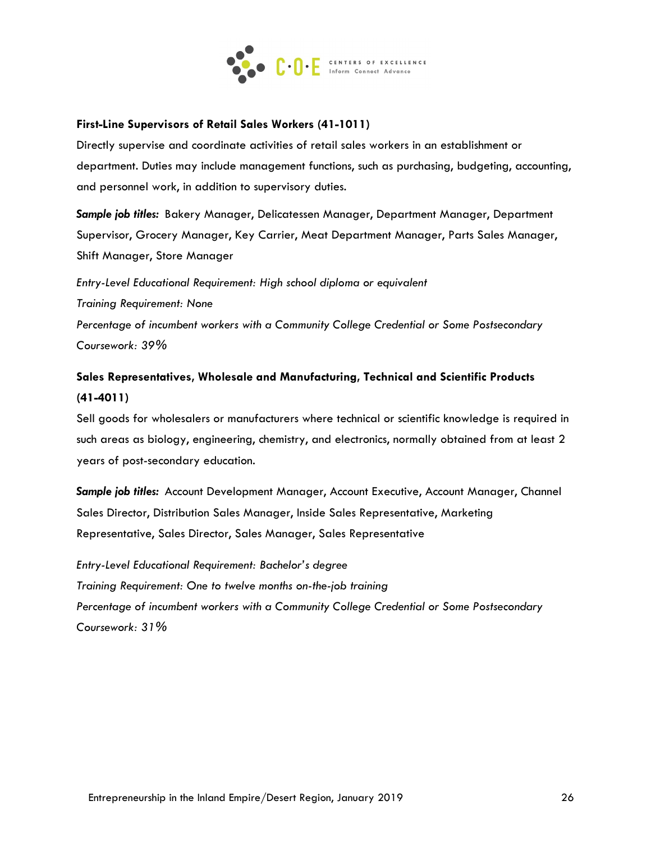

#### **First-Line Supervisors of Retail Sales Workers (41-1011)**

Directly supervise and coordinate activities of retail sales workers in an establishment or department. Duties may include management functions, such as purchasing, budgeting, accounting, and personnel work, in addition to supervisory duties.

*Sample job titles:* Bakery Manager, Delicatessen Manager, Department Manager, Department Supervisor, Grocery Manager, Key Carrier, Meat Department Manager, Parts Sales Manager, Shift Manager, Store Manager

*Entry-Level Educational Requirement: High school diploma or equivalent Training Requirement: None Percentage of incumbent workers with a Community College Credential or Some Postsecondary Coursework: 39%*

# **Sales Representatives, Wholesale and Manufacturing, Technical and Scientific Products (41-4011)**

Sell goods for wholesalers or manufacturers where technical or scientific knowledge is required in such areas as biology, engineering, chemistry, and electronics, normally obtained from at least 2 years of post-secondary education.

*Sample job titles:* Account Development Manager, Account Executive, Account Manager, Channel Sales Director, Distribution Sales Manager, Inside Sales Representative, Marketing Representative, Sales Director, Sales Manager, Sales Representative

*Entry-Level Educational Requirement: Bachelor's degree Training Requirement: One to twelve months on-the-job training Percentage of incumbent workers with a Community College Credential or Some Postsecondary Coursework: 31%*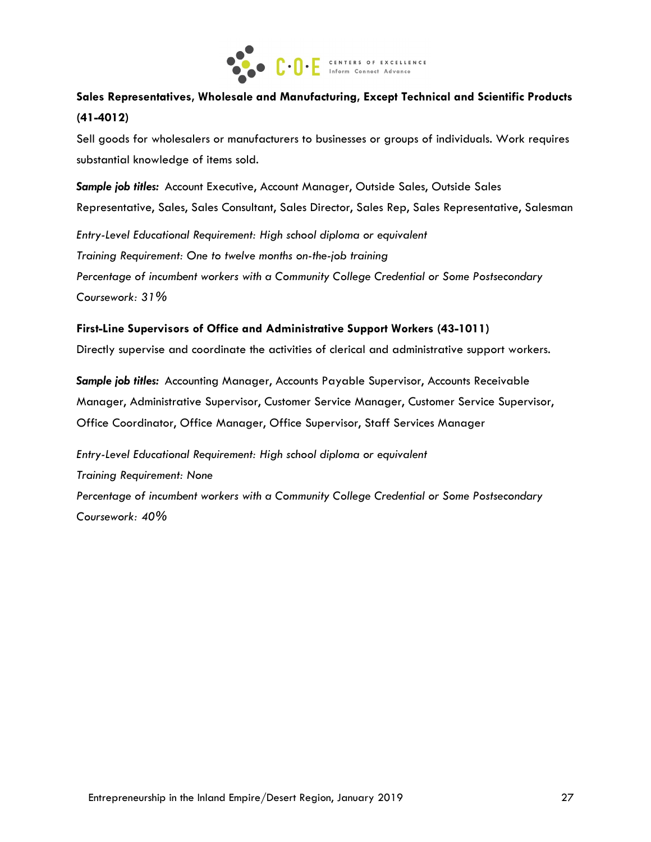

# **Sales Representatives, Wholesale and Manufacturing, Except Technical and Scientific Products (41-4012)**

Sell goods for wholesalers or manufacturers to businesses or groups of individuals. Work requires substantial knowledge of items sold.

*Sample job titles:* Account Executive, Account Manager, Outside Sales, Outside Sales Representative, Sales, Sales Consultant, Sales Director, Sales Rep, Sales Representative, Salesman

*Entry-Level Educational Requirement: High school diploma or equivalent Training Requirement: One to twelve months on-the-job training Percentage of incumbent workers with a Community College Credential or Some Postsecondary Coursework: 31%*

#### **First-Line Supervisors of Office and Administrative Support Workers (43-1011)**

Directly supervise and coordinate the activities of clerical and administrative support workers.

*Sample job titles:* Accounting Manager, Accounts Payable Supervisor, Accounts Receivable Manager, Administrative Supervisor, Customer Service Manager, Customer Service Supervisor, Office Coordinator, Office Manager, Office Supervisor, Staff Services Manager

*Entry-Level Educational Requirement: High school diploma or equivalent Training Requirement: None Percentage of incumbent workers with a Community College Credential or Some Postsecondary Coursework: 40%*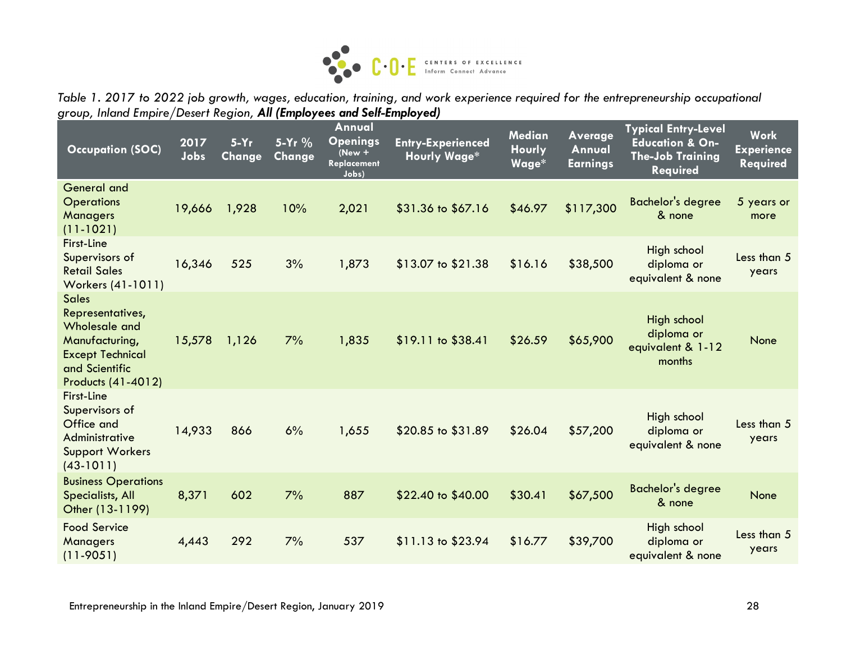

*Table 1. 2017 to 2022 job growth, wages, education, training, and work experience required for the entrepreneurship occupational group, Inland Empire/Desert Region, All (Employees and Self-Employed)*

| <b>Occupation (SOC)</b>                                                                                                                | 2017<br>Jobs | $5-Yr$<br>Change | 5-Yr %<br>Change | Annual<br><b>Openings</b><br>$New +$<br><b>Replacement</b><br>Jobs) | <b>Entry-Experienced</b><br><b>Hourly Wage*</b> | Median<br><b>Hourly</b><br>Wage* | <b>Average</b><br>Annual<br><b>Earnings</b> | <b>Typical Entry-Level</b><br><b>Education &amp; On-</b><br><b>The-Job Training</b><br><b>Required</b> | <b>Work</b><br><b>Experience</b><br>Required |
|----------------------------------------------------------------------------------------------------------------------------------------|--------------|------------------|------------------|---------------------------------------------------------------------|-------------------------------------------------|----------------------------------|---------------------------------------------|--------------------------------------------------------------------------------------------------------|----------------------------------------------|
| <b>General and</b><br><b>Operations</b><br>Managers<br>$(11 - 1021)$                                                                   | 19,666       | 1,928            | 10%              | 2,021                                                               | \$31.36 to \$67.16                              | \$46.97                          | \$117,300                                   | <b>Bachelor's degree</b><br>& none                                                                     | 5 years or<br>more                           |
| First-Line<br>Supervisors of<br><b>Retail Sales</b><br>Workers (41-1011)                                                               | 16,346       | 525              | 3%               | 1,873                                                               | \$13.07 to \$21.38                              | \$16.16                          | \$38,500                                    | High school<br>diploma or<br>equivalent & none                                                         | Less than 5<br>years                         |
| <b>Sales</b><br>Representatives,<br>Wholesale and<br>Manufacturing,<br><b>Except Technical</b><br>and Scientific<br>Products (41-4012) | 15,578       | 1,126            | 7%               | 1,835                                                               | $$19.11$ to $$38.41$                            | \$26.59                          | \$65,900                                    | High school<br>diploma or<br>equivalent & 1-12<br>months                                               | None                                         |
| <b>First-Line</b><br>Supervisors of<br>Office and<br>Administrative<br><b>Support Workers</b><br>$(43-1011)$                           | 14,933       | 866              | 6%               | 1,655                                                               | \$20.85 to \$31.89                              | \$26.04                          | \$57,200                                    | High school<br>diploma or<br>equivalent & none                                                         | Less than 5<br>years                         |
| <b>Business Operations</b><br>Specialists, All<br>Other (13-1199)                                                                      | 8,371        | 602              | 7%               | 887                                                                 | \$22.40 to \$40.00                              | \$30.41                          | \$67,500                                    | <b>Bachelor's degree</b><br>& none                                                                     | None                                         |
| <b>Food Service</b><br>Managers<br>$(11 - 9051)$                                                                                       | 4,443        | 292              | 7%               | 537                                                                 | \$11.13 to \$23.94                              | \$16.77                          | \$39,700                                    | High school<br>diploma or<br>equivalent & none                                                         | Less than 5<br>years                         |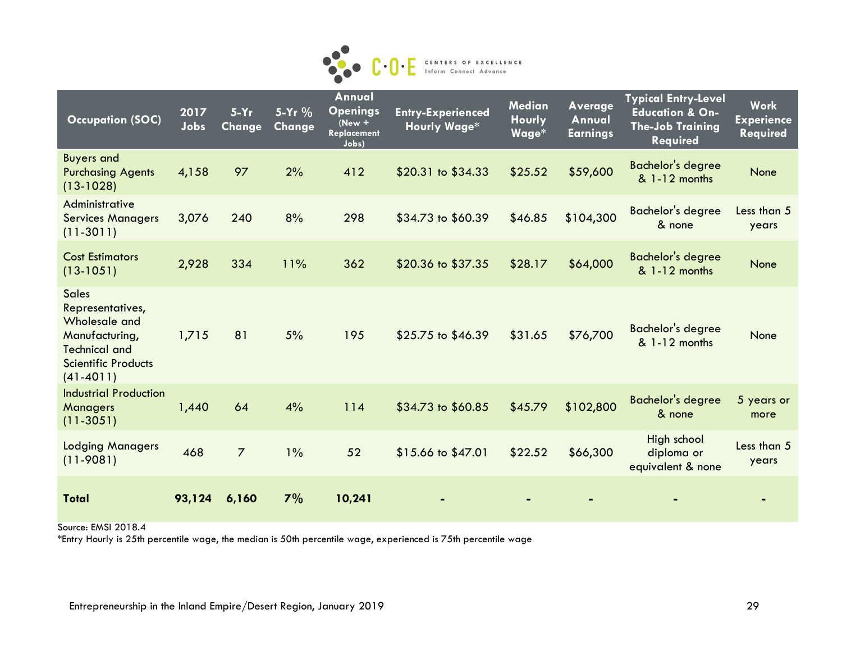

| <b>Occupation (SOC)</b>                                                                                                                  | 2017<br>Jobs | $5-Yr$<br><b>Change</b> | $5-Yr$ %<br>Change | Annual<br><b>Openings</b><br>$New +$<br>Replacement<br>Jobs) | <b>Entry-Experienced</b><br><b>Hourly Wage*</b> | <b>Median</b><br><b>Hourly</b><br>Wage* | Average<br>Annual<br><b>Earnings</b> | <b>Typical Entry-Level</b><br><b>Education &amp; On-</b><br><b>The-Job Training</b><br><b>Required</b> | <b>Work</b><br><b>Experience</b><br>Required |
|------------------------------------------------------------------------------------------------------------------------------------------|--------------|-------------------------|--------------------|--------------------------------------------------------------|-------------------------------------------------|-----------------------------------------|--------------------------------------|--------------------------------------------------------------------------------------------------------|----------------------------------------------|
| <b>Buyers and</b><br><b>Purchasing Agents</b><br>$(13-1028)$                                                                             | 4,158        | 97                      | 2%                 | 412                                                          | \$20.31 to \$34.33                              | \$25.52                                 | \$59,600                             | <b>Bachelor's degree</b><br>& 1-12 months                                                              | <b>None</b>                                  |
| Administrative<br><b>Services Managers</b><br>$(11 - 3011)$                                                                              | 3,076        | 240                     | 8%                 | 298                                                          | \$34.73 to \$60.39                              | \$46.85                                 | \$104,300                            | Bachelor's degree<br>& none                                                                            | Less than 5<br>years                         |
| <b>Cost Estimators</b><br>$(13-1051)$                                                                                                    | 2,928        | 334                     | 11%                | 362                                                          | \$20.36 to \$37.35                              | \$28.17                                 | \$64,000                             | <b>Bachelor's degree</b><br>& 1-12 months                                                              | <b>None</b>                                  |
| <b>Sales</b><br>Representatives,<br>Wholesale and<br>Manufacturing,<br><b>Technical and</b><br><b>Scientific Products</b><br>$(41-4011)$ | 1,715        | 81                      | 5%                 | 195                                                          | \$25.75 to \$46.39                              | \$31.65                                 | \$76,700                             | <b>Bachelor's degree</b><br>& 1-12 months                                                              | None                                         |
| <b>Industrial Production</b><br>Managers<br>$(11 - 3051)$                                                                                | 1,440        | 64                      | 4%                 | 114                                                          | \$34.73 to \$60.85                              | \$45.79                                 | \$102,800                            | <b>Bachelor's degree</b><br>& none                                                                     | 5 years or<br>more                           |
| <b>Lodging Managers</b><br>$(11 - 9081)$                                                                                                 | 468          | $\overline{7}$          | $1\%$              | 52                                                           | \$15.66 to \$47.01                              | \$22.52                                 | \$66,300                             | High school<br>diploma or<br>equivalent & none                                                         | Less than 5<br>years                         |
| Total                                                                                                                                    | 93,124       | 6,160                   | 7%                 | 10,241                                                       |                                                 |                                         |                                      |                                                                                                        |                                              |

Source: EMSI 2018.4

\*Entry Hourly is 25th percentile wage, the median is 50th percentile wage, experienced is 75th percentile wage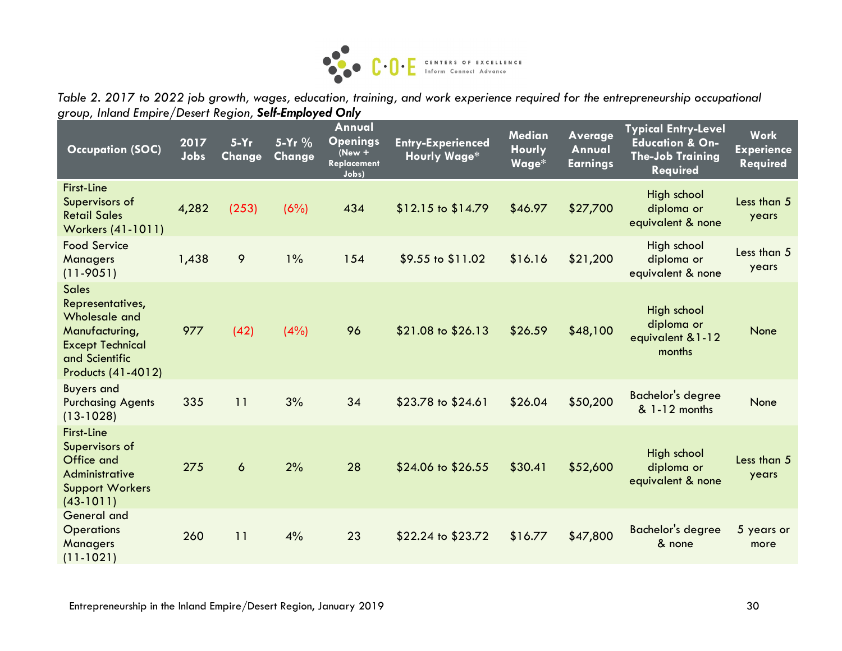

*Table 2. 2017 to 2022 job growth, wages, education, training, and work experience required for the entrepreneurship occupational group, Inland Empire/Desert Region, Self-Employed Only*

| <b>Occupation (SOC)</b>                                                                                                                | 2017<br>Jobs | $5-Yr$<br>Change | 5-Yr %<br>Change | Annual<br><b>Openings</b><br>$New +$<br><b>Replacement</b><br>Jobs) | <b>Entry-Experienced</b><br><b>Hourly Wage*</b> | <b>Median</b><br><b>Hourly</b><br>Wage* | <b>Average</b><br>Annual<br><b>Earnings</b> | <b>Typical Entry-Level</b><br><b>Education &amp; On-</b><br><b>The-Job Training</b><br><b>Required</b> | <b>Work</b><br><b>Experience</b><br>Required |
|----------------------------------------------------------------------------------------------------------------------------------------|--------------|------------------|------------------|---------------------------------------------------------------------|-------------------------------------------------|-----------------------------------------|---------------------------------------------|--------------------------------------------------------------------------------------------------------|----------------------------------------------|
| <b>First-Line</b><br>Supervisors of<br><b>Retail Sales</b><br>Workers (41-1011)                                                        | 4,282        | (253)            | (6%)             | 434                                                                 | $$12.15$ to $$14.79$                            | \$46.97                                 | \$27,700                                    | High school<br>diploma or<br>equivalent & none                                                         | Less than 5<br>years                         |
| <b>Food Service</b><br>Managers<br>$(11 - 9051)$                                                                                       | 1,438        | 9                | $1\%$            | 154                                                                 | \$9.55 to \$11.02                               | \$16.16                                 | \$21,200                                    | High school<br>diploma or<br>equivalent & none                                                         | Less than 5<br>years                         |
| <b>Sales</b><br>Representatives,<br>Wholesale and<br>Manufacturing,<br><b>Except Technical</b><br>and Scientific<br>Products (41-4012) | 977          | (42)             | (4%)             | 96                                                                  | \$21.08 to \$26.13                              | \$26.59                                 | \$48,100                                    | High school<br>diploma or<br>equivalent & 1-12<br>months                                               | None                                         |
| <b>Buyers and</b><br><b>Purchasing Agents</b><br>$(13-1028)$                                                                           | 335          | 11               | 3%               | 34                                                                  | \$23.78 to \$24.61                              | \$26.04                                 | \$50,200                                    | <b>Bachelor's degree</b><br>& 1-12 months                                                              | None                                         |
| <b>First-Line</b><br>Supervisors of<br>Office and<br>Administrative<br><b>Support Workers</b><br>$(43-1011)$                           | 275          | $\ddot{\circ}$   | 2%               | 28                                                                  | \$24.06 to \$26.55                              | \$30.41                                 | \$52,600                                    | High school<br>diploma or<br>equivalent & none                                                         | Less than 5<br>years                         |
| <b>General and</b><br><b>Operations</b><br>Managers<br>$(11 - 1021)$                                                                   | 260          | 11               | 4%               | 23                                                                  | \$22.24 to \$23.72                              | \$16.77                                 | \$47,800                                    | <b>Bachelor's degree</b><br>& none                                                                     | 5 years or<br>more                           |